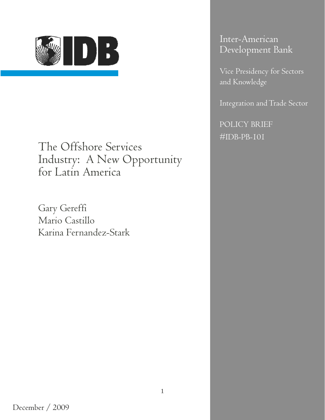

The Offshore Services Industry: A New Opportunity for Latin America

Gary Gereffi Mario Castillo Karina Fernandez-Stark Inter-American Development Bank

Vice Presidency for Sectors and Knowledge

Integration and Trade Sector

POLICY BRIEF #IDB-PB-101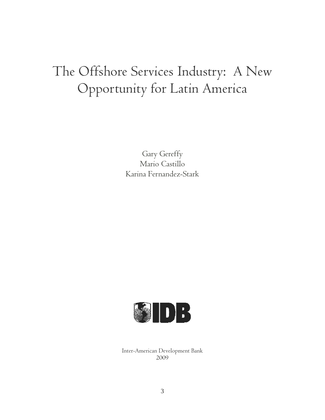# The Offshore Services Industry: A New Opportunity for Latin America

Gary Gereffy Mario Castillo Karina Fernandez-Stark



Inter-American Development Bank 2009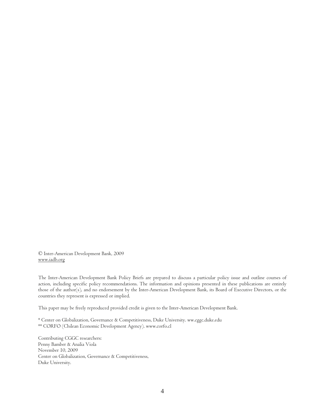© Inter-American Development Bank, 2009 www.iadb.org

The Inter-American Development Bank Policy Briefs are prepared to discuss a particular policy issue and outline courses of action, including specific policy recommendations. The information and opinions presented in these publications are entirely those of the author(s), and no endorsement by the Inter-American Development Bank, its Board of Executive Directors, or the countries they represent is expressed or implied.

This paper may be freely reproduced provided credit is given to the Inter-American Development Bank.

\* Center on Globalization, Governance & Competitiveness, Duke University. ww.cggc.duke.edu \*\* CORFO (Chilean Economic Development Agency). [www.corfo.cl](http://www.corfo.cl/)

Contributing CGGC researchers: Penny Bamber & Analia Viola November 10, 2009 Center on Globalization, Governance & Competitiveness, Duke University.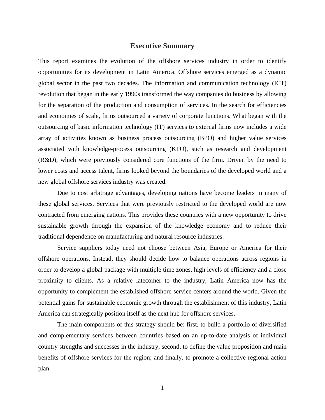### **Executive Summary**

This report examines the evolution of the offshore services industry in order to identify opportunities for its development in Latin America. Offshore services emerged as a dynamic global sector in the past two decades. The information and communication technology (ICT) revolution that began in the early 1990s transformed the way companies do business by allowing for the separation of the production and consumption of services. In the search for efficiencies and economies of scale, firms outsourced a variety of corporate functions. What began with the outsourcing of basic information technology (IT) services to external firms now includes a wide array of activities known as business process outsourcing (BPO) and higher value services associated with knowledge-process outsourcing (KPO), such as research and development (R&D), which were previously considered core functions of the firm. Driven by the need to lower costs and access talent, firms looked beyond the boundaries of the developed world and a new global offshore services industry was created.

Due to cost arbitrage advantages, developing nations have become leaders in many of these global services. Services that were previously restricted to the developed world are now contracted from emerging nations. This provides these countries with a new opportunity to drive sustainable growth through the expansion of the knowledge economy and to reduce their traditional dependence on manufacturing and natural resource industries.

Service suppliers today need not choose between Asia, Europe or America for their offshore operations. Instead, they should decide how to balance operations across regions in order to develop a global package with multiple time zones, high levels of efficiency and a close proximity to clients. As a relative latecomer to the industry, Latin America now has the opportunity to complement the established offshore service centers around the world. Given the potential gains for sustainable economic growth through the establishment of this industry, Latin America can strategically position itself as the next hub for offshore services.

The main components of this strategy should be: first, to build a portfolio of diversified and complementary services between countries based on an up-to-date analysis of individual country strengths and successes in the industry; second, to define the value proposition and main benefits of offshore services for the region; and finally, to promote a collective regional action plan.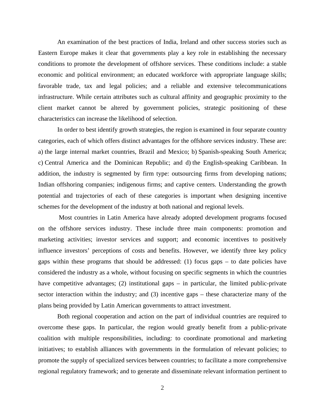An examination of the best practices of India, Ireland and other success stories such as Eastern Europe makes it clear that governments play a key role in establishing the necessary conditions to promote the development of offshore services. These conditions include: a stable economic and political environment; an educated workforce with appropriate language skills; favorable trade, tax and legal policies; and a reliable and extensive telecommunications infrastructure. While certain attributes such as cultural affinity and geographic proximity to the client market cannot be altered by government policies, strategic positioning of these characteristics can increase the likelihood of selection.

In order to best identify growth strategies, the region is examined in four separate country categories, each of which offers distinct advantages for the offshore services industry. These are: a) the large internal market countries, Brazil and Mexico; b) Spanish-speaking South America; c) Central America and the Dominican Republic; and d) the English-speaking Caribbean. In addition, the industry is segmented by firm type: outsourcing firms from developing nations; Indian offshoring companies; indigenous firms; and captive centers. Understanding the growth potential and trajectories of each of these categories is important when designing incentive schemes for the development of the industry at both national and regional levels.

 Most countries in Latin America have already adopted development programs focused on the offshore services industry. These include three main components: promotion and marketing activities; investor services and support; and economic incentives to positively influence investors' perceptions of costs and benefits. However, we identify three key policy gaps within these programs that should be addressed: (1) focus gaps – to date policies have considered the industry as a whole, without focusing on specific segments in which the countries have competitive advantages; (2) institutional gaps – in particular, the limited public-private sector interaction within the industry; and (3) incentive gaps – these characterize many of the plans being provided by Latin American governments to attract investment.

Both regional cooperation and action on the part of individual countries are required to overcome these gaps. In particular, the region would greatly benefit from a public-private coalition with multiple responsibilities, including: to coordinate promotional and marketing initiatives; to establish alliances with governments in the formulation of relevant policies; to promote the supply of specialized services between countries; to facilitate a more comprehensive regional regulatory framework; and to generate and disseminate relevant information pertinent to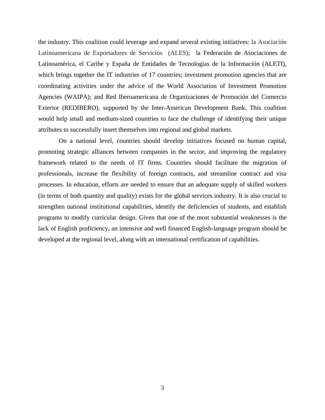the industry. This coalition could leverage and expand several existing initiatives: la Asociación Latinoamericana de Exportadores de Servicios (ALES); la Federación de Asociaciones de Latinoamérica, el Caribe y España de Entidades de Tecnologías de la Información (ALETI), which brings together the IT industries of 17 countries; investment promotion agencies that are coordinating activities under the advice of the World Association of Investment Promotion Agencies (WAIPA); and Red Iberoamericana de Organizaciones de Promoción del Comercio Exterior (REDIBERO), supported by the Inter-American Development Bank. This coalition would help small and medium-sized countries to face the challenge of identifying their unique attributes to successfully insert themselves into regional and global markets.

 On a national level, countries should develop initiatives focused on human capital, promoting strategic alliances between companies in the sector, and improving the regulatory framework related to the needs of IT firms. Countries should facilitate the migration of professionals, increase the flexibility of foreign contracts, and streamline contract and visa processes. In education, efforts are needed to ensure that an adequate supply of skilled workers (in terms of both quantity and quality) exists for the global services industry. It is also crucial to strengthen national institutional capabilities, identify the deficiencies of students, and establish programs to modify curricular design. Given that one of the most substantial weaknesses is the lack of English proficiency, an intensive and well financed English-language program should be developed at the regional level, along with an international certification of capabilities.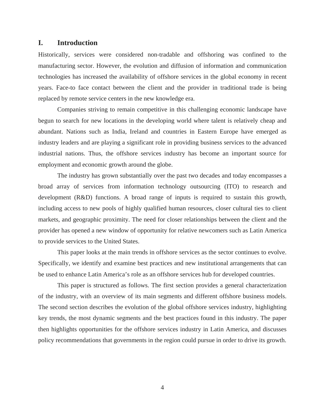### **I. Introduction**

Historically, services were considered non-tradable and offshoring was confined to the manufacturing sector. However, the evolution and diffusion of information and communication technologies has increased the availability of offshore services in the global economy in recent years. Face-to face contact between the client and the provider in traditional trade is being replaced by remote service centers in the new knowledge era.

Companies striving to remain competitive in this challenging economic landscape have begun to search for new locations in the developing world where talent is relatively cheap and abundant. Nations such as India, Ireland and countries in Eastern Europe have emerged as industry leaders and are playing a significant role in providing business services to the advanced industrial nations. Thus, the offshore services industry has become an important source for employment and economic growth around the globe.

The industry has grown substantially over the past two decades and today encompasses a broad array of services from information technology outsourcing (ITO) to research and development (R&D) functions. A broad range of inputs is required to sustain this growth, including access to new pools of highly qualified human resources, closer cultural ties to client markets, and geographic proximity. The need for closer relationships between the client and the provider has opened a new window of opportunity for relative newcomers such as Latin America to provide services to the United States.

This paper looks at the main trends in offshore services as the sector continues to evolve. Specifically, we identify and examine best practices and new institutional arrangements that can be used to enhance Latin America's role as an offshore services hub for developed countries.

This paper is structured as follows. The first section provides a general characterization of the industry, with an overview of its main segments and different offshore business models. The second section describes the evolution of the global offshore services industry, highlighting key trends, the most dynamic segments and the best practices found in this industry. The paper then highlights opportunities for the offshore services industry in Latin America, and discusses policy recommendations that governments in the region could pursue in order to drive its growth.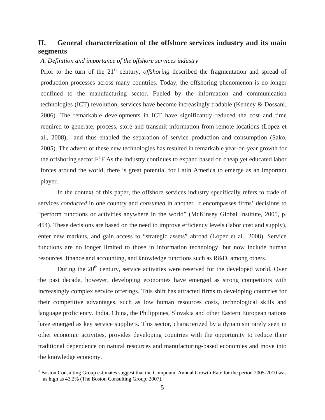### **II. General characterization of the offshore services industry and its main segments**

### *A. Definition and importance of the offshore services industry*

Prior to the turn of the 21<sup>st</sup> century, *offshoring* described the fragmentation and spread of production processes across many countries. Today, the offshoring phenomenon is no longer confined to the manufacturing sector. Fueled by the information and communication technologies (ICT) revolution, services have become increasingly tradable (Kenney & Dossani, 2006). The remarkable developments in ICT have significantly reduced the cost and time required to generate, process, store and transmit information from remote locations (Lopez et al., 2008), and thus enabled the separation of service production and consumption (Sako, 2005). The advent of these new technologies has resulted in remarkable year-on-year growth for the offshoring sector. $F^1F$  $F^1F$  $F^1F$  As the industry continues to expand based on cheap yet educated labor forces around the world, there is great potential for Latin America to emerge as an important player.

In the context of this paper, the offshore services industry specifically refers to trade of services *conducted* in one country and *consumed* in another. It encompasses firms' decisions to "perform functions or activities anywhere in the world" (McKinsey Global Institute, 2005, p. 454). These decisions are based on the need to improve efficiency levels (labor cost and supply), enter new markets, and gain access to "strategic assets" abroad (Lopez et al., 2008). Service functions are no longer limited to those in information technology, but now include human resources, finance and accounting, and knowledge functions such as R&D, among others.

During the  $20<sup>th</sup>$  century, service activities were reserved for the developed world. Over the past decade, however, developing economies have emerged as strong competitors with increasingly complex service offerings. This shift has attracted firms to developing countries for their competitive advantages, such as low human resources costs, technological skills and language proficiency. India, China, the Philippines, Slovakia and other Eastern European nations have emerged as key service suppliers. This sector, characterized by a dynamism rarely seen in other economic activities, provides developing countries with the opportunity to reduce their traditional dependence on natural resources and manufacturing-based economies and move into the knowledge economy.

<span id="page-7-0"></span><sup>&</sup>lt;sup>1</sup> Boston Consulting Group estimates suggest that the Compound Annual Growth Rate for the period 2005-2010 was as high as 43.2% (The Boston Consulting Group, 2007).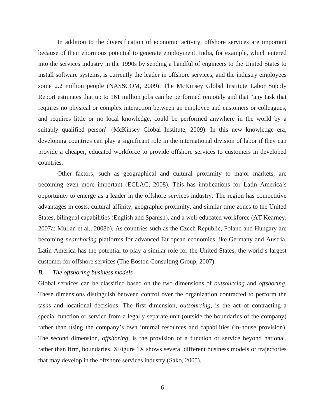In addition to the diversification of economic activity, offshore services are important because of their enormous potential to generate employment. India, for example, which entered into the services industry in the 1990s by sending a handful of engineers to the United States to install software systems, is currently the leader in offshore services, and the industry employees some 2.2 million people (NASSCOM, 2009). The McKinsey Global Institute Labor Supply Report estimates that up to 161 million jobs can be performed remotely and that "any task that requires no physical or complex interaction between an employee and customers or colleagues, and requires little or no local knowledge, could be performed anywhere in the world by a suitably qualified person" (McKinsey Global Institute, 2009). In this new knowledge era, developing countries can play a significant role in the international division of labor if they can provide a cheaper, educated workforce to provide offshore services to customers in developed countries.

Other factors, such as geographical and cultural proximity to major markets, are becoming even more important (ECLAC, 2008). This has implications for Latin America's opportunity to emerge as a leader in the offshore services industry. The region has competitive advantages in costs, cultural affinity, geographic proximity, and similar time zones to the United States, bilingual capabilities (English and Spanish), and a well-educated workforce (AT Kearney, 2007a; Mullan et al., 2008b). As countries such as the Czech Republic, Poland and Hungary are becoming *nearshoring* platforms for advanced European economies like Germany and Austria, Latin America has the potential to play a similar role for the United States, the world's largest customer for offshore services (The Boston Consulting Group, 2007).

### *B. The offshoring business models*

Global services can be classified based on the two dimensions of *outsourcing* and *offshoring*. These dimensions distinguish between control over the organization contracted to perform the tasks and locational decisions. The first dimension, *outsourcing,* is the act of contracting a special function or service from a legally separate unit (outside the boundaries of the company) rather than using the company's own internal resources and capabilities (in-house provision). The second dimension, *offshoring,* is the provision of a function or service beyond national, rather than firm, boundaries. [XFigure 1](#page-9-0)X shows several different business models or trajectories that may develop in the offshore services industry (Sako, 2005).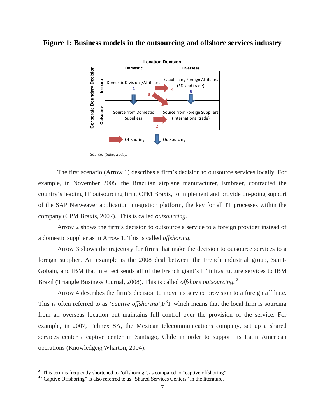### <span id="page-9-0"></span>**Figure 1: Business models in the outsourcing and offshore services industry**



*Source: (Sako, 2005)*.

The first scenario (Arrow 1) describes a firm's decision to outsource services locally. For example, in November 2005, the Brazilian airplane manufacturer, Embraer, contracted the country´s leading IT outsourcing firm, CPM Braxis, to implement and provide on-going support of the SAP Netweaver application integration platform, the key for all IT processes within the company (CPM Braxis, 2007). This is called *outsourcing*.

Arrow 2 shows the firm's decision to outsource a service to a foreign provider instead of a domestic supplier as in Arrow 1. This is called *offshoring*.

Arrow 3 shows the trajectory for firms that make the decision to outsource services to a foreign supplier. An example is the 2008 deal between the French industrial group, Saint-Gobain, and IBM that in effect sends all of the French giant's IT infrastructure services to IBM Brazil (Triangle Business Journal, 2008). This is called *offshore outsourcing.* [2](#page-9-1)

Arrow 4 describes the firm's decision to move its service provision to a foreign affiliate. This is often referred to as '*captive offshoring*', $F^3F$  which means that the local firm is sourcing [from an overseas location but maintains full control over the provision of the service. For](#page-9-2)  [example, in 2007, Telmex SA, the Mexican telecommunications company, set up a shared](#page-9-2)  [services center / captive center in Santiago, Chile in order to support its Latin American](#page-9-2)  [operations \(Knowledge@Wharton, 2004\).](#page-9-2) 

<span id="page-9-1"></span><sup>&</sup>lt;sup>2</sup> This term is frequently shortened to "offshoring", as compared to "captive offshoring".

<span id="page-9-2"></span><sup>&</sup>lt;sup>3</sup> "Captive Offshoring" is also referred to as "Shared Services Centers" in the literature.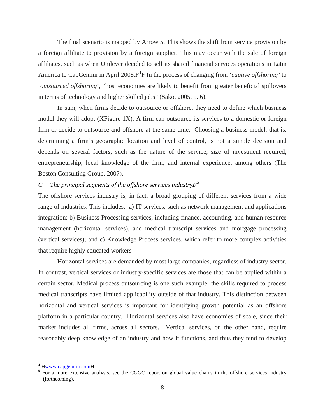The final scenario is mapped by Arrow 5. This shows the shift from service provision by a foreign affiliate to provision by a foreign supplier. This may occur with the sale of foreign affiliates, such as when Unilever decided to sell its shared financial services operations in Latin America to CapGemini in April 2008. F<sup>[4](#page-10-0)</sup>F In the process of changing from '*captive offshoring*' to '*outsourced offshoring*', "host economies are likely to benefit from greater beneficial spillovers in terms of technology and higher skilled jobs" (Sako, 2005, p. 6).

In sum, when firms decide to outsource or offshore, they need to define which business model they will adopt (XFigure 1X). A firm can outsource its services to a domestic or foreign [firm or decide to outsource and offshore at the same time. Choosing a business model, that is,](#page-9-0)  [determining a firm's geographic location and level of control, is not a simple decision and](#page-9-0)  [depends on several factors, such as the nature of the service, size of investment required,](#page-9-0)  [entrepreneurship, local knowledge of the firm, and internal experience, among others \(The](#page-9-0)  [Boston Consulting Group, 2007\).](#page-9-0) 

### *C. The principal segments of the offshore services industryF<sup>5</sup>* F

The offshore services industry is, in fact, a broad grouping of different services from a wide range of industries. This includes: a) IT services, such as network management and applications integration; b) Business Processing services, including finance, accounting, and human resource management (horizontal services), and medical transcript services and mortgage processing (vertical services); and c) Knowledge Process services, which refer to more complex activities that require highly educated workers

Horizontal services are demanded by most large companies, regardless of industry sector. In contrast, vertical services or industry-specific services are those that can be applied within a certain sector. Medical process outsourcing is one such example; the skills required to process medical transcripts have limited applicability outside of that industry. This distinction between horizontal and vertical services is important for identifying growth potential as an offshore platform in a particular country. Horizontal services also have economies of scale, since their market includes all firms, across all sectors. Vertical services, on the other hand, require reasonably deep knowledge of an industry and how it functions, and thus they tend to develop

<span id="page-10-0"></span><sup>&</sup>lt;sup>4</sup> H<u>www.capgemini.com</u>H<br><sup>5</sup> Eor a more extensive are

<sup>&</sup>lt;sup>5</sup> For a more extensive analysis, see the CGGC report on global value chains in the offshore services industry (forthcoming).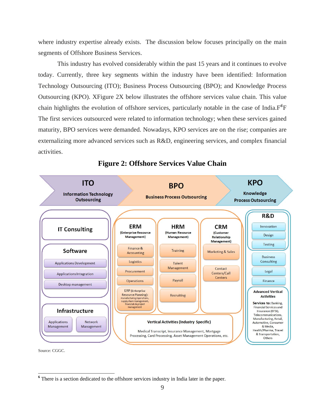where industry expertise already exists. The discussion below focuses principally on the main segments of Offshore Business Services.

This industry has evolved considerably within the past 15 years and it continues to evolve today. Currently, three key segments within the industry have been identified: Information Technology Outsourcing (ITO); Business Process Outsourcing (BPO); and Knowledge Process Outsourcing (KPO). X[Figure 2](#page-11-1)X below illustrates the offshore services value chain. This value chain highlights the evolution of offshore services, particularly notable in the case of India.F*[6](#page-11-0)* F The first services outsourced were related to information technology; when these services gained maturity, BPO services were demanded. Nowadays, KPO services are on the rise; companies are externalizing more advanced services such as R&D, engineering services, and complex financial activities.

<span id="page-11-1"></span>

### **Figure 2: Offshore Services Value Chain**

Source: CGGC.

<span id="page-11-0"></span><sup>&</sup>lt;sup>6</sup> There is a section dedicated to the offshore services industry in India later in the paper.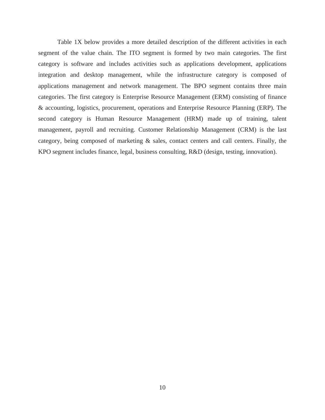Table 1X below provides a more detailed description of the different activities in each segment of the value chain. The ITO segment is formed by two main categories. The first category is software and includes activities such as applications development, applications integration and desktop management, while the infrastructure category is composed of applications management and network management. The BPO segment contains three main categories. The first category is Enterprise Resource Management (ERM) consisting of finance & accounting, logistics, procurement, operations and Enterprise Resource Planning (ERP). The second category is Human Resource Management (HRM) made up of training, talent management, payroll and recruiting. Customer Relationship Management (CRM) is the last category, being composed of marketing & sales, contact centers and call centers. Finally, the KPO segment includes finance, legal, business consulting, R&D (design, testing, innovation).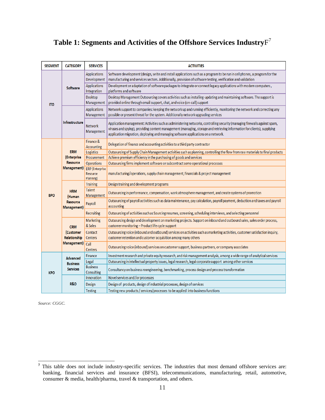### Table 1: Segments and Activities of the Offshore Services Industry $\mathrm{F}^7$

| <b>SEGMENT</b>                | <b>CATEGORY</b>                                 | <b>SERVICES</b>                                                                    | <b>ACTIVITIES</b>                                                                                                                                                                                                                                                                                                                         |
|-------------------------------|-------------------------------------------------|------------------------------------------------------------------------------------|-------------------------------------------------------------------------------------------------------------------------------------------------------------------------------------------------------------------------------------------------------------------------------------------------------------------------------------------|
|                               |                                                 | <b>Applications</b><br>Development                                                 | Software development (design, write and install applications such as a program to be run in cell phones, a program for the<br>manufacturing and services sectors. Additionally, provision of software testing, verification and validation                                                                                                |
| <b>Software</b><br><b>ITO</b> |                                                 | <b>Applications</b><br>Integration                                                 | Development or adaptation of software packages to integrate or connect legacy applications with modern computers,<br>platforms and software                                                                                                                                                                                               |
|                               |                                                 | <b>Desktop</b><br>Management                                                       | Desktop Management Outsourcing covers activities such as installing-updating and maintaining software. The support is<br>provided online through email support, chat, and voice (on-call) support                                                                                                                                         |
|                               |                                                 | <b>Applications</b><br>Management                                                  | Network support to companies: keeping the network up and running efficiently, monitoring the network and correcting any<br>possible or present threat for the system. Additionally network upgrading services                                                                                                                             |
|                               | Infrastructure                                  | <b>Network</b><br>Management                                                       | Application management: Activities such as administering networks, controlling security (managing firewalls against spam,<br>viruses and spying), providing content management (managing, storage and retrieving information for clients), supplying<br>application migration, deploying and managing software applications on a network. |
|                               |                                                 | Finance &<br>Accounting                                                            | Delegation of finance and accounting activities to a third party contractor                                                                                                                                                                                                                                                               |
|                               | <b>ERM</b>                                      | Logistics                                                                          | Outsourcing of Supply Chain Management activities such as planning, controlling the flow from raw materials to final products                                                                                                                                                                                                             |
|                               | (Enterprise                                     | Procurement                                                                        | Achieve premium efficiency in the purchasing of goods and services                                                                                                                                                                                                                                                                        |
|                               | <b>Resource</b><br>Management)                  | <b>Operations</b>                                                                  | Outsourcing firms implement software or subcontract some operational processes                                                                                                                                                                                                                                                            |
|                               | <b>ERP</b> (Enterprise<br>Resource<br>Planning) | manufacturing/operations, supply chain management, financials & project management |                                                                                                                                                                                                                                                                                                                                           |
|                               |                                                 | <b>Training</b>                                                                    | Design training and development programs                                                                                                                                                                                                                                                                                                  |
| <b>BPO</b>                    | <b>HRM</b><br>(Human                            | <b>Talent</b><br>Management                                                        | Outsourcing in performance, compensation, work atmosphere management, and create systems of promotion                                                                                                                                                                                                                                     |
|                               | <b>Resource</b><br>Management)                  | Payroll                                                                            | Outsourcing of payroll activities such as data maintenance, pay calculation, payroll payment, deduction and taxes and payroll<br>accounting                                                                                                                                                                                               |
|                               |                                                 | <b>Recruiting</b>                                                                  | Outsourcing of activities such as Sourcing resumes, screening, scheduling interviews, and selecting personnel                                                                                                                                                                                                                             |
|                               | <b>CRM</b>                                      | <b>Marketing</b><br>& Sales                                                        | Outsourcing design and development on marketing projects. Support on inbound and outbound sales, sales order process,<br>customer monitoring - Product life cycle support                                                                                                                                                                 |
|                               | (Customer<br>Relationship                       | Contact<br>Centers                                                                 | Outsourcing voice (inbound and outbound) services on activities such as marketing activities, customer satisfaction inquiry,<br>customer retention and customer acquisition among many others                                                                                                                                             |
| Management)                   |                                                 | Call<br>Centers                                                                    | Outsourcing voice (inbound) services on customer support, business partners, or company associates                                                                                                                                                                                                                                        |
|                               | <b>Advanced</b>                                 | Finance                                                                            | Investment research and private equity research, and risk management analysis, among a wide range of analytical services                                                                                                                                                                                                                  |
|                               | <b>Business</b>                                 | Legal                                                                              | Outsourcing in intellectual property issues, legal research, legal corporate support among other services                                                                                                                                                                                                                                 |
| <b>KPO</b>                    | <b>Services</b>                                 | <b>Business</b><br>Consulting                                                      | Consultancy on business reengineering, benchmarking, process design and process transformation                                                                                                                                                                                                                                            |
|                               |                                                 | Innovation                                                                         | Novel services and /or processes                                                                                                                                                                                                                                                                                                          |
|                               | <b>R&amp;D</b>                                  | Design                                                                             | Design of products, design of industrial processes, design of services                                                                                                                                                                                                                                                                    |
|                               |                                                 | Testing                                                                            | Testing new products / services/processes to be applied into business functions                                                                                                                                                                                                                                                           |

*Source: CGGC.* 

<sup>&</sup>lt;sup>7</sup> This table does not include industry-specific services. The industries that most demand offshore services are: banking, financial services and insurance (BFSI), telecommunications, manufacturing, retail, automotive, consumer & media, health/pharma, travel & transportation, and others.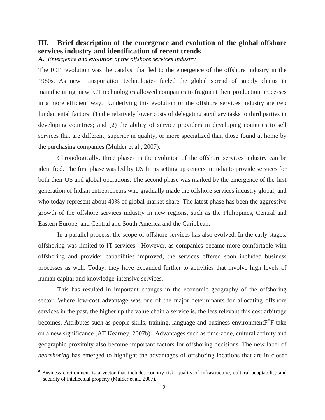### **III. Brief description of the emergence and evolution of the global offshore services industry and identification of recent trends**

**A.** *Emergence and evolution of the offshore services industry* 

The ICT revolution was the catalyst that led to the emergence of the offshore industry in the 1980s. As new transportation technologies fueled the global spread of supply chains in manufacturing, new ICT technologies allowed companies to fragment their production processes in a more efficient way. Underlying this evolution of the offshore services industry are two fundamental factors: (1) the relatively lower costs of delegating auxiliary tasks to third parties in developing countries; and (2) the ability of service providers in developing countries to sell services that are different, superior in quality, or more specialized than those found at home by the purchasing companies (Mulder et al., 2007).

Chronologically, three phases in the evolution of the offshore services industry can be identified. The first phase was led by US firms setting up centers in India to provide services for both their US and global operations. The second phase was marked by the emergence of the first generation of Indian entrepreneurs who gradually made the offshore services industry global, and who today represent about 40% of global market share. The latest phase has been the aggressive growth of the offshore services industry in new regions, such as the Philippines, Central and Eastern Europe, and Central and South America and the Caribbean.

In a parallel process, the scope of offshore services has also evolved. In the early stages, offshoring was limited to IT services. However, as companies became more comfortable with offshoring and provider capabilities improved, the services offered soon included business processes as well. Today, they have expanded further to activities that involve high levels of human capital and knowledge-intensive services.

This has resulted in important changes in the economic geography of the offshoring sector. Where low-cost advantage was one of the major determinants for allocating offshore services in the past, the higher up the value chain a service is, the less relevant this cost arbitrage becomes. Attributes such as people skills, training, language and business environment $F^8F$  $F^8F$  $F^8F$  take on a new significance (AT Kearney, 2007b). Advantages such as time-zone, cultural affinity and geographic proximity also become important factors for offshoring decisions. The new label of *nearshoring* has emerged to highlight the advantages of offshoring locations that are in closer

<span id="page-14-0"></span><sup>&</sup>lt;sup>8</sup> Business environment is a vector that includes country risk, quality of infrastructure, cultural adaptability and security of intellectual property (Mulder et al., 2007).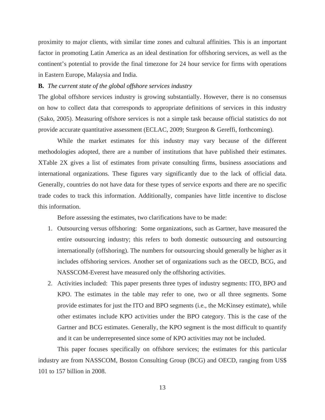proximity to major clients, with similar time zones and cultural affinities. This is an important factor in promoting Latin America as an ideal destination for offshoring services, as well as the continent's potential to provide the final timezone for 24 hour service for firms with operations in Eastern Europe, Malaysia and India.

### **B.** *The current state of the global offshore services industry*

The global offshore services industry is growing substantially. However, there is no consensus on how to collect data that corresponds to appropriate definitions of services in this industry (Sako, 2005). Measuring offshore services is not a simple task because official statistics do not provide accurate quantitative assessment (ECLAC, 2009; Sturgeon & Gereffi, forthcoming).

While the market estimates for this industry may vary because of the different methodologies adopted, there are a number of institutions that have published their estimates. XXTable [2X gives a list of estimates from private consulting firms, business associations and](#page-16-0)  [international organizations. These figures vary significantly due to the lack of official data.](#page-16-0)  [Generally, countries do not have data for these types of service exports and there are no specific](#page-16-0)  [trade codes to track this information. Additionally, companies have little incentive to disclose](#page-16-0)  [this information.](#page-16-0) 

Before assessing the estimates, two clarifications have to be made:

- 1. Outsourcing versus offshoring: Some organizations, such as Gartner, have measured the entire outsourcing industry; this refers to both domestic outsourcing and outsourcing internationally (offshoring). The numbers for outsourcing should generally be higher as it includes offshoring services. Another set of organizations such as the OECD, BCG, and NASSCOM-Everest have measured only the offshoring activities.
- 2. Activities included: This paper presents three types of industry segments: ITO, BPO and KPO. The estimates in the table may refer to one, two or all three segments. Some provide estimates for just the ITO and BPO segments (i.e., the McKinsey estimate), while other estimates include KPO activities under the BPO category. This is the case of the Gartner and BCG estimates. Generally, the KPO segment is the most difficult to quantify and it can be underrepresented since some of KPO activities may not be included.

This paper focuses specifically on offshore services; the estimates for this particular industry are from NASSCOM, Boston Consulting Group (BCG) and OECD, ranging from US\$ 101 to 157 billion in 2008.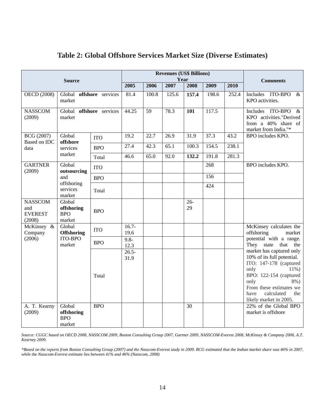| <b>Source</b>                                     |                                              |            | <b>Revenues (US\$ Billions)</b><br>Year |       |       |              |       |                                             |                                                                                                                                                                                                                                 |
|---------------------------------------------------|----------------------------------------------|------------|-----------------------------------------|-------|-------|--------------|-------|---------------------------------------------|---------------------------------------------------------------------------------------------------------------------------------------------------------------------------------------------------------------------------------|
|                                                   |                                              |            | 2005                                    | 2006  | 2007  | 2008         | 2009  | 2010                                        | <b>Comments</b>                                                                                                                                                                                                                 |
| <b>OECD</b> (2008)                                | Global offshore services<br>market           | 81.4       | 100.8                                   | 125.6 | 157.4 | 198.6        | 252.4 | Includes ITO-BPO<br>$\&$<br>KPO activities. |                                                                                                                                                                                                                                 |
| <b>NASSCOM</b><br>(2009)                          | Global offshore services<br>market           |            | 44.25                                   | 59    | 78.3  | 101          | 117.5 |                                             | Includes ITO-BPO<br>&<br>KPO activities."Derived<br>from a 40% share of<br>market from India."*                                                                                                                                 |
| BCG (2007)<br>Based on IDC                        | Global<br>offshore                           | <b>ITO</b> | 19.2                                    | 22.7  | 26.9  | 31.9         | 37.3  | 43.2                                        | BPO includes KPO.                                                                                                                                                                                                               |
| data                                              | services                                     | <b>BPO</b> | 27.4                                    | 42.3  | 65.1  | 100.3        | 154.5 | 238.1                                       |                                                                                                                                                                                                                                 |
|                                                   | market                                       | Total      | 46.6                                    | 65.0  | 92.0  | 132.2        | 191.8 | 281.3                                       |                                                                                                                                                                                                                                 |
| <b>GARTNER</b><br>(2009)                          | Global<br>outsourcing                        | <b>ITO</b> |                                         |       |       |              | 268   |                                             | BPO includes KPO.                                                                                                                                                                                                               |
|                                                   | and                                          | <b>BPO</b> |                                         |       |       |              | 156   |                                             |                                                                                                                                                                                                                                 |
|                                                   | offshoring<br>services<br>market             | Total      |                                         |       |       |              | 424   |                                             |                                                                                                                                                                                                                                 |
| <b>NASSCOM</b><br>and<br><b>EVEREST</b><br>(2008) | Global<br>offshoring<br><b>BPO</b><br>market | <b>BPO</b> |                                         |       |       | $26 -$<br>29 |       |                                             |                                                                                                                                                                                                                                 |
| McKinsey &<br>Company                             | Global<br><b>Offshoring</b>                  | <b>ITO</b> | $16.7-$<br>19.6                         |       |       |              |       |                                             | McKinsey calculates the<br>offshoring<br>market                                                                                                                                                                                 |
| (2006)                                            | <b>ITO-BPO</b><br>market                     | <b>BPO</b> | $9.8 -$<br>12.3                         |       |       |              |       |                                             | potential with a range.<br>They state<br>that<br>the                                                                                                                                                                            |
|                                                   |                                              | Total      | $26.5 -$<br>31.9                        |       |       |              |       |                                             | market has captured only<br>10% of its full potential.<br>ITO: 147-178 (captured<br>only<br>$11\%$ )<br>BPO: 122-154 (captured<br>only<br>8%)<br>From these estimates we<br>calculated<br>have<br>the<br>likely market in 2005. |
| A. T. Kearny<br>(2009)                            | Global<br>offshoring<br><b>BPO</b><br>market | <b>BPO</b> |                                         |       |       | 30           |       |                                             | 22% of the Global BPO<br>market is offshore                                                                                                                                                                                     |

### **Table 2: Global Offshore Services Market Size (Diverse Estimates)**

*Source: CGGC based on OECD 2008, NASSCOM 2009, Boston Consulting Group 2007, Gartner 2009, NASSCOM-Everest 2008, McKinsey & Company 2006, A.T. Kearney 2009.* 

<span id="page-16-0"></span>*\*Based on the reports from Boston Consulting Group (2007) and the Nasscom-Everest study in 2009. BCG estimated that the Indian market share was 46% in 2007, while the Nasscom-Everest estimate lies between 41% and 46% (Nasscom, 2008)*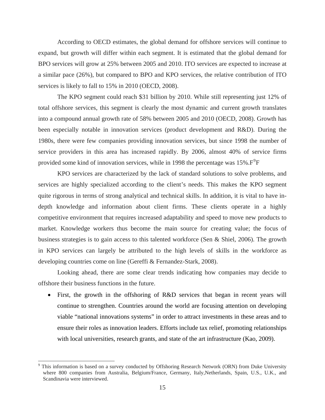According to OECD estimates, the global demand for offshore services will continue to expand, but growth will differ within each segment. It is estimated that the global demand for BPO services will grow at 25% between 2005 and 2010. ITO services are expected to increase at a similar pace (26%), but compared to BPO and KPO services, the relative contribution of ITO services is likely to fall to 15% in 2010 (OECD, 2008).

The KPO segment could reach \$31 billion by 2010. While still representing just 12% of total offshore services, this segment is clearly the most dynamic and current growth translates into a compound annual growth rate of 58% between 2005 and 2010 (OECD, 2008). Growth has been especially notable in innovation services (product development and R&D). During the 1980s, there were few companies providing innovation services, but since 1998 the number of service providers in this area has increased rapidly. By 2006, almost 40% of service firms provided some kind of innovation services, while in 1[9](#page-17-0)98 the percentage was  $15\%$ .  $F^9F$ 

KPO services are characterized by the lack of standard solutions to solve problems, and services are highly specialized according to the client's needs. This makes the KPO segment quite rigorous in terms of strong analytical and technical skills. In addition, it is vital to have indepth knowledge and information about client firms. These clients operate in a highly competitive environment that requires increased adaptability and speed to move new products to market. Knowledge workers thus become the main source for creating value; the focus of business strategies is to gain access to this talented workforce (Sen & Shiel, 2006). The growth in KPO services can largely be attributed to the high levels of skills in the workforce as developing countries come on line (Gereffi & Fernandez-Stark, 2008).

Looking ahead, there are some clear trends indicating how companies may decide to offshore their business functions in the future.

• First, the growth in the offshoring of R&D services that began in recent years will continue to strengthen. Countries around the world are focusing attention on developing viable "national innovations systems" in order to attract investments in these areas and to ensure their roles as innovation leaders. Efforts include tax relief, promoting relationships with local universities, research grants, and state of the art infrastructure (Kao, 2009).

<span id="page-17-0"></span><sup>&</sup>lt;sup>9</sup> This information is based on a survey conducted by Offshoring Research Network (ORN) from Duke University where 800 companies from Australia, Belgium/France, Germany, Italy,Netherlands, Spain, U.S., U.K., and Scandinavia were interviewed.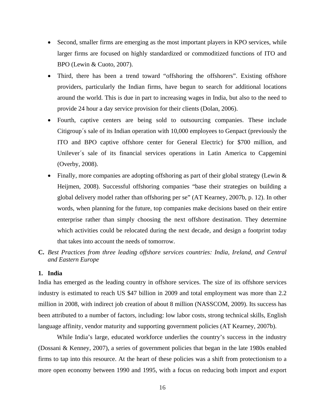- Second, smaller firms are emerging as the most important players in KPO services, while larger firms are focused on highly standardized or commoditized functions of ITO and BPO (Lewin & Cuoto, 2007).
- Third, there has been a trend toward "offshoring the offshorers". Existing offshore providers, particularly the Indian firms, have begun to search for additional locations around the world. This is due in part to increasing wages in India, but also to the need to provide 24 hour a day service provision for their clients (Dolan, 2006).
- Fourth, captive centers are being sold to outsourcing companies. These include Citigroup´s sale of its Indian operation with 10,000 employees to Genpact (previously the ITO and BPO captive offshore center for General Electric) for \$700 million, and Unilever´s sale of its financial services operations in Latin America to Capgemini (Overby, 2008).
- Finally, more companies are adopting offshoring as part of their global strategy (Lewin & Heijmen, 2008). Successful offshoring companies "base their strategies on building a global delivery model rather than offshoring per se" (AT Kearney, 2007b, p. 12). In other words, when planning for the future, top companies make decisions based on their entire enterprise rather than simply choosing the next offshore destination. They determine which activities could be relocated during the next decade, and design a footprint today that takes into account the needs of tomorrow.
- **C.** *Best Practices from three leading offshore services countries: India, Ireland, and Central and Eastern Europe*

### **1. India**

India has emerged as the leading country in offshore services. The size of its offshore services industry is estimated to reach US \$47 billion in 2009 and total employment was more than 2.2 million in 2008, with indirect job creation of about 8 million (NASSCOM, 2009). Its success has been attributed to a number of factors, including: low labor costs, strong technical skills, English language affinity, vendor maturity and supporting government policies (AT Kearney, 2007b).

While India's large, educated workforce underlies the country's success in the industry (Dossani & Kenney, 2007), a series of government policies that began in the late 1980s enabled firms to tap into this resource. At the heart of these policies was a shift from protectionism to a more open economy between 1990 and 1995, with a focus on reducing both import and export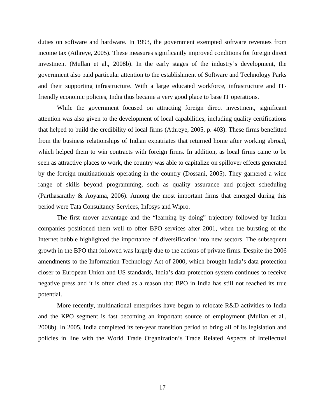duties on software and hardware. In 1993, the government exempted software revenues from income tax (Athreye, 2005). These measures significantly improved conditions for foreign direct investment (Mullan et al., 2008b). In the early stages of the industry's development, the government also paid particular attention to the establishment of Software and Technology Parks and their supporting infrastructure. With a large educated workforce, infrastructure and ITfriendly economic policies, India thus became a very good place to base IT operations.

While the government focused on attracting foreign direct investment, significant attention was also given to the development of local capabilities, including quality certifications that helped to build the credibility of local firms (Athreye, 2005, p. 403). These firms benefitted from the business relationships of Indian expatriates that returned home after working abroad, which helped them to win contracts with foreign firms. In addition, as local firms came to be seen as attractive places to work, the country was able to capitalize on spillover effects generated by the foreign multinationals operating in the country (Dossani, 2005). They garnered a wide range of skills beyond programming, such as quality assurance and project scheduling (Parthasarathy & Aoyama, 2006). Among the most important firms that emerged during this period were Tata Consultancy Services, Infosys and Wipro.

The first mover advantage and the "learning by doing" trajectory followed by Indian companies positioned them well to offer BPO services after 2001, when the bursting of the Internet bubble highlighted the importance of diversification into new sectors. The subsequent growth in the BPO that followed was largely due to the actions of private firms. Despite the 2006 amendments to the Information Technology Act of 2000, which brought India's data protection closer to European Union and US standards, India's data protection system continues to receive negative press and it is often cited as a reason that BPO in India has still not reached its true potential.

More recently, multinational enterprises have begun to relocate R&D activities to India and the KPO segment is fast becoming an important source of employment (Mullan et al., 2008b). In 2005, India completed its ten-year transition period to bring all of its legislation and policies in line with the World Trade Organization's Trade Related Aspects of Intellectual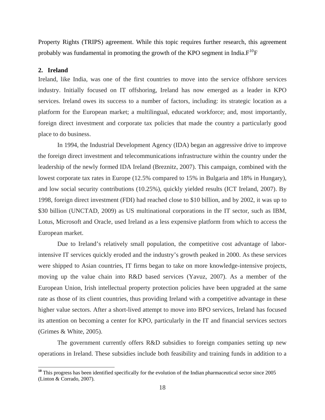Property Rights (TRIPS) agreement. While this topic requires further research, this agreement probably was fundamental in promoting the growth of the KPO segment in India. $F^{10}F$  $F^{10}F$  $F^{10}F$ 

### **2. Ireland**

 $\overline{a}$ 

Ireland, like India, was one of the first countries to move into the service offshore services industry. Initially focused on IT offshoring, Ireland has now emerged as a leader in KPO services. Ireland owes its success to a number of factors, including: its strategic location as a platform for the European market; a multilingual, educated workforce; and, most importantly, foreign direct investment and corporate tax policies that made the country a particularly good place to do business.

 In 1994, the Industrial Development Agency (IDA) began an aggressive drive to improve the foreign direct investment and telecommunications infrastructure within the country under the leadership of the newly formed IDA Ireland (Breznitz, 2007). This campaign, combined with the lowest corporate tax rates in Europe (12.5% compared to 15% in Bulgaria and 18% in Hungary), and low social security contributions (10.25%), quickly yielded results (ICT Ireland, 2007). By 1998, foreign direct investment (FDI) had reached close to \$10 billion, and by 2002, it was up to \$30 billion (UNCTAD, 2009) as US multinational corporations in the IT sector, such as IBM, Lotus, Microsoft and Oracle, used Ireland as a less expensive platform from which to access the European market.

 Due to Ireland's relatively small population, the competitive cost advantage of laborintensive IT services quickly eroded and the industry's growth peaked in 2000. As these services were shipped to Asian countries, IT firms began to take on more knowledge-intensive projects, moving up the value chain into R&D based services (Yavuz, 2007). As a member of the European Union, Irish intellectual property protection policies have been upgraded at the same rate as those of its client countries, thus providing Ireland with a competitive advantage in these higher value sectors. After a short-lived attempt to move into BPO services, Ireland has focused its attention on becoming a center for KPO, particularly in the IT and financial services sectors (Grimes & White, 2005).

 The government currently offers R&D subsidies to foreign companies setting up new operations in Ireland. These subsidies include both feasibility and training funds in addition to a

<span id="page-20-0"></span><sup>&</sup>lt;sup>10</sup> This progress has been identified specifically for the evolution of the Indian pharmaceutical sector since 2005 (Linton & Corrado, 2007).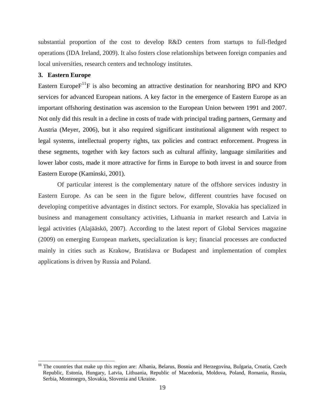substantial proportion of the cost to develop R&D centers from startups to full-fledged operations (IDA Ireland, 2009). It also fosters close relationships between foreign companies and local universities, research centers and technology institutes.

#### **3. Eastern Europe**

 $\overline{a}$ 

Eastern Europe $F^{11}F$  $F^{11}F$  $F^{11}F$  is also becoming an attractive destination for nearshoring BPO and KPO services for advanced European nations. A key factor in the emergence of Eastern Europe as an important offshoring destination was ascension to the European Union between 1991 and 2007. Not only did this result in a decline in costs of trade with principal trading partners, Germany and Austria (Meyer, 2006), but it also required significant institutional alignment with respect to legal systems, intellectual property rights, tax policies and contract enforcement. Progress in these segments, together with key factors such as cultural affinity, language similarities and lower labor costs, made it more attractive for firms in Europe to both invest in and source from Eastern Europe (Kaminski, 2001).

 Of particular interest is the complementary nature of the offshore services industry in Eastern Europe. As can be seen in the figure below, different countries have focused on developing competitive advantages in distinct sectors. For example, Slovakia has specialized in business and management consultancy activities, Lithuania in market research and Latvia in legal activities (Alajääskö, 2007). According to the latest report of Global Services magazine (2009) on emerging European markets, specialization is key; financial processes are conducted mainly in cities such as Krakow, Bratislava or Budapest and implementation of complex applications is driven by Russia and Poland.

<span id="page-21-0"></span>**<sup>11</sup>** The countries that make up this region are: Albania, Belarus, Bosnia and Herzegovina, Bulgaria, Croatia, Czech Republic, Estonia, Hungary, Latvia, Lithuania, Republic of Macedonia, Moldova, Poland, Romania, Russia, Serbia, Montenegro, Slovakia, Slovenia and Ukraine.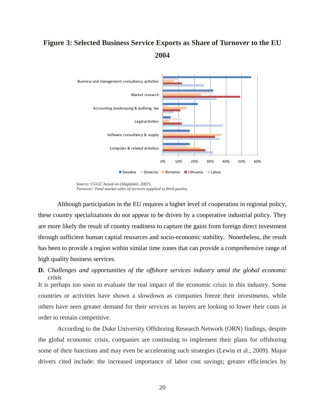### **Figure 3: Selected Business Service Exports as Share of Turnover to the EU 2004**



*Source: CGGC based on (Alajääskö, 2007). Turnover: Total market sales of services supplied to third parties.* 

Although participation in the EU requires a higher level of cooperation in regional policy, these country specializations do not appear to be driven by a cooperative industrial policy. They are more likely the result of country readiness to capture the gains from foreign direct investment through sufficient human capital resources and socio-economic stability. Nonetheless, the result has been to provide a region within similar time zones that can provide a comprehensive range of high quality business services.

### **D.** *Challenges and opportunities of the offshore services industry amid the global economic crisis*

It is perhaps too soon to evaluate the real impact of the economic crisis in this industry. Some countries or activities have shown a slowdown as companies freeze their investments, while others have seen greater demand for their services as buyers are looking to lower their costs in order to remain competitive.

According to the Duke University Offshoring Research Network (ORN) findings, despite the global economic crisis, companies are continuing to implement their plans for offshoring some of their functions and may even be accelerating such strategies (Lewin et al., 2009). Major drivers cited include: the increased importance of labor cost savings; greater efficiencies by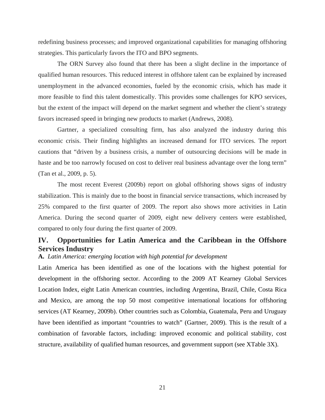redefining business processes; and improved organizational capabilities for managing offshoring strategies. This particularly favors the ITO and BPO segments.

The ORN Survey also found that there has been a slight decline in the importance of qualified human resources. This reduced interest in offshore talent can be explained by increased unemployment in the advanced economies, fueled by the economic crisis, which has made it more feasible to find this talent domestically. This provides some challenges for KPO services, but the extent of the impact will depend on the market segment and whether the client's strategy favors increased speed in bringing new products to market (Andrews, 2008).

Gartner, a specialized consulting firm, has also analyzed the industry during this economic crisis. Their finding highlights an increased demand for ITO services. The report cautions that "driven by a business crisis, a number of outsourcing decisions will be made in haste and be too narrowly focused on cost to deliver real business advantage over the long term" (Tan et al., 2009, p. 5).

The most recent Everest (2009b) report on global offshoring shows signs of industry stabilization. This is mainly due to the boost in financial service transactions, which increased by 25% compared to the first quarter of 2009. The report also shows more activities in Latin America. During the second quarter of 2009, eight new delivery centers were established, compared to only four during the first quarter of 2009.

### **IV. Opportunities for Latin America and the Caribbean in the Offshore Services Industry**

### **A.** *Latin America: emerging location with high potential for development*

Latin America has been identified as one of the locations with the highest potential for development in the offshoring sector. According to the 2009 AT Kearney Global Services Location Index, eight Latin American countries, including Argentina, Brazil, Chile, Costa Rica and Mexico, are among the top 50 most competitive international locations for offshoring services (AT Kearney, 2009b). Other countries such as Colombia, Guatemala, Peru and Uruguay have been identified as important "countries to watch" (Gartner, 2009). This is the result of a combination of favorable factors, including: improved economic and political stability, cost structure, availability of qualified human resources, and government support (see [XTable 3X](#page-24-0)).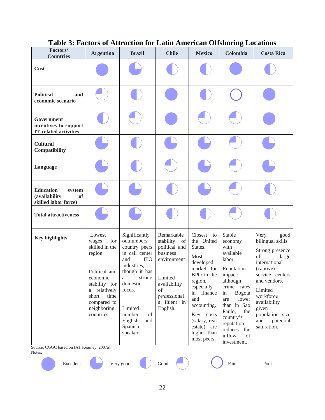| Factors/<br><b>Countries</b>                                                     | <b>Argentina</b>                                                                                                                                                               | <b>Brazil</b>                                                                                                                                                                                                                 | <b>Chile</b>                                                                                                                                          | <b>Mexico</b>                                                                                                                                                                                                                          | Colombia                                                                                                                                                                                                                                      | <b>Costa Rica</b>                                                                                                                                                                                                                           |
|----------------------------------------------------------------------------------|--------------------------------------------------------------------------------------------------------------------------------------------------------------------------------|-------------------------------------------------------------------------------------------------------------------------------------------------------------------------------------------------------------------------------|-------------------------------------------------------------------------------------------------------------------------------------------------------|----------------------------------------------------------------------------------------------------------------------------------------------------------------------------------------------------------------------------------------|-----------------------------------------------------------------------------------------------------------------------------------------------------------------------------------------------------------------------------------------------|---------------------------------------------------------------------------------------------------------------------------------------------------------------------------------------------------------------------------------------------|
| Cost                                                                             |                                                                                                                                                                                |                                                                                                                                                                                                                               |                                                                                                                                                       |                                                                                                                                                                                                                                        |                                                                                                                                                                                                                                               |                                                                                                                                                                                                                                             |
| <b>Political</b><br>and<br>economic scenario                                     |                                                                                                                                                                                |                                                                                                                                                                                                                               |                                                                                                                                                       |                                                                                                                                                                                                                                        |                                                                                                                                                                                                                                               |                                                                                                                                                                                                                                             |
| Government<br>incentives to support<br><b>IT-related activities</b>              |                                                                                                                                                                                |                                                                                                                                                                                                                               |                                                                                                                                                       |                                                                                                                                                                                                                                        |                                                                                                                                                                                                                                               |                                                                                                                                                                                                                                             |
| <b>Cultural</b><br>Compatibility                                                 |                                                                                                                                                                                |                                                                                                                                                                                                                               |                                                                                                                                                       |                                                                                                                                                                                                                                        |                                                                                                                                                                                                                                               |                                                                                                                                                                                                                                             |
| Language                                                                         |                                                                                                                                                                                |                                                                                                                                                                                                                               |                                                                                                                                                       |                                                                                                                                                                                                                                        |                                                                                                                                                                                                                                               |                                                                                                                                                                                                                                             |
| <b>Education</b><br>system<br>(availability<br><b>of</b><br>skilled labor force) |                                                                                                                                                                                |                                                                                                                                                                                                                               |                                                                                                                                                       |                                                                                                                                                                                                                                        |                                                                                                                                                                                                                                               |                                                                                                                                                                                                                                             |
| <b>Total attractiveness</b>                                                      |                                                                                                                                                                                |                                                                                                                                                                                                                               |                                                                                                                                                       |                                                                                                                                                                                                                                        |                                                                                                                                                                                                                                               |                                                                                                                                                                                                                                             |
| <b>Key highlights</b><br>Source: CGGC based on (AT Kearney, 2007a).              | Lowest<br>for<br>wages<br>skilled in the<br>region.<br>Political and<br>economic<br>stability for<br>a relatively<br>time<br>short<br>compared to<br>neighboring<br>countries. | Significantly<br>outnumbers<br>country peers<br>in call center<br>and<br><b>ITO</b><br>industries,<br>though it has<br>strong<br>a<br>domestic<br>focus.<br>Limited<br>number<br>of<br>English<br>and<br>Spanish<br>speakers. | Remarkable<br>stability<br>of<br>political and<br>business<br>environment<br>Limited<br>availability<br>of<br>professional<br>s fluent in<br>English. | Closest<br>to<br>the United<br>States.<br><b>Most</b><br>developed<br>market for<br>BPO in the<br>region,<br>especially<br>in finance<br>and<br>accounting.<br>Key costs<br>(salary, real<br>estate) are<br>higher than<br>most peers. | Stable<br>economy<br>with<br>available<br>labor.<br>Reputation<br>impact:<br>although<br>crime rates<br>in<br>Bogota<br>lower<br>are<br>than in Sao<br>Paulo,<br>the<br>country's<br>reputation<br>reduces the<br>inflow<br>of<br>investment. | Very<br>good<br>bilingual skills.<br>Strong presence<br>of<br>large<br>international<br>(captive)<br>service centers<br>and vendors.<br>Limited<br>workforce<br>availability<br>given<br>population size<br>and<br>potential<br>saturation. |
| Notes:                                                                           |                                                                                                                                                                                |                                                                                                                                                                                                                               | $\operatorname{Good}$                                                                                                                                 |                                                                                                                                                                                                                                        |                                                                                                                                                                                                                                               |                                                                                                                                                                                                                                             |
| Excellent                                                                        |                                                                                                                                                                                | Very good                                                                                                                                                                                                                     |                                                                                                                                                       |                                                                                                                                                                                                                                        | Fair                                                                                                                                                                                                                                          | Poor                                                                                                                                                                                                                                        |

### **Table 3: Factors of Attraction for Latin American Offshoring Locations**

<span id="page-24-0"></span>22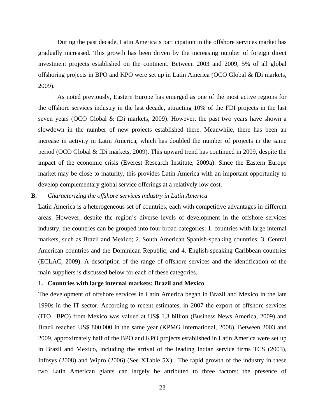During the past decade, Latin America's participation in the offshore services market has gradual ly increased. This growth has been driven by the increasing number of foreign direct investment projects established on the continent. Between 2003 and 2009, 5% of all global offshoring projects in BPO and KPO were set up in Latin America (OCO Global & fDi markets, 2009).

As noted previously, Eastern Europe has emerged as one of the most active regions for the offs hore services industry in the last decade, attracting 10% of the FDI projects in the last seven years (OCO Global & fDi markets, 2009). However, the past two years have shown a slowdown in the number of new projects established there. Meanwhile, there has been an increase in activity in Latin America, which has doubled the number of projects in the same period (OCO Global & fDi markets, 2009). This upward trend has continued in 2009, despite the impact of the economic crisis (Everest Research Institute, 2009a). Since the Eastern Europe market may be close to maturity, this provides Latin America with an important opportunity to develop complementary global service offerings at a relatively low cost.

#### **B.** *Characterizing the offshore services industry in Latin America*

Latin America is a heterogeneous set of countries, each with competitive advantages in different areas. However, despite the region's diverse levels of development in the offshore services industry, the countries can be grouped into four broad categories: 1. countries with large internal markets, such as Brazil and Mexico; 2. South American Spanish-speaking countries; 3. Central American countries and the Dominican Republic; and 4. English-speaking Caribbean countries (ECLAC, 2009). A description of the range of offshore services and the identification of the main suppliers is discussed below for each of these categories.

### **o 1. Countries with large internal markets: Brazil and Mexic**

The development of offshore services in Latin America began in Brazil and Mexico in the late 1990s in the IT sector. According to recent estimates, in 2007 the export of offshore services (ITO –BPO) from Mexico was valued at US\$ 1.3 billion (Business News America, 2009) and Brazil reached US\$ 800,000 in the same year (KPMG International, 2008). Between 2003 and 2009, approximately half of the BPO and KPO projects established in Latin America were set up in Brazil and Mexico, including the arrival of the leading Indian service firms TCS (2003), Infosys  $(2008)$  and Wipro  $(2006)$  (See XTable 5X). The rapid growth of the industry in these [two Latin American giants can largely be attributed to three factors: the presence of](#page-34-0)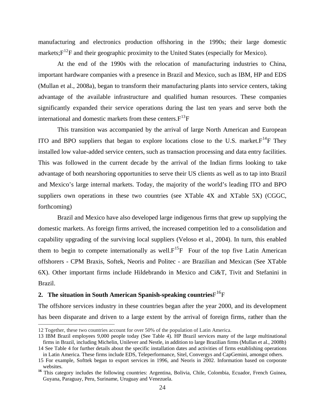[manufacturing and electronics production offshoring in the 1990s; their large domestic](#page-34-0)  markets: $F^{12}F$  and their geographic proximity to the United States (especially for Mexico).

[At the end of the 1990s with the relocation of manufacturing industries to C](#page-26-0)hina, importa nt hardware companies with a presence in Brazil and Mexico, such as IBM, HP and EDS (Mullan et al., 2008a), began to transform their manufacturing plants into service centers, taking advantage of the available infrastructure and qualified human resources. These companies significantly expanded their service operations during the last ten years and serve both the international and domestic markets from these centers. $F^{13}F$  $F^{13}F$  $F^{13}F$ 

This transition was accompanied by the arrival of large North American and European ITO and BPO suppliers that began to explore locations close to the U.S. market. $F^{14}F$  $F^{14}F$  $F^{14}F$  They installed low value-added service centers, such as transaction processing and data entry facilities. This was followed in the current decade by the arrival of the Indian firms looking to take advantage of both nearshoring opportunities to serve their US clients as well as to tap into Brazil and Mexico's large internal markets. Today, the majority of the world's leading ITO and BPO suppliers own operations in these two countries (see X[Table 4X](#page-32-0) and [XTable 5](#page-34-0)X) (CGGC, forthcoming)

Brazil and Mexico have also developed large indigenous firms that grew up supplying the domest ic markets. As foreign firms arrived, the increased competition led to a consolidation and capability upgrading of the surviving local suppliers (Veloso et al., 2004). In turn, this enabled them to begin to compete internationally as well. $F^{15}F$  $F^{15}F$  $F^{15}F$  Four of the top five Latin American offshorers - CPM Braxis, Softek, Neoris and Politec - are Brazilian and Mexican (See X[Table](#page-35-0)  [6X](#page-35-0)). Other important firms include Hildebrando in Mexico and Ci&T, Tivit and Stefanini in Brazil.

### **situation in South American Spanish-speaking countries**F16F **2. The**

The offshore services industry in these countries began after the year 2000, and its development has been disparate and driven to a large extent by the arrival of foreign firms, rather than the

<span id="page-26-0"></span><sup>12</sup> Together, these two countries account for over 50% of the population of Latin America.

<span id="page-26-1"></span><sup>13</sup> IBM Brazil employees 9,000 people today (See Table 4). HP Brazil services many of the large multinational firms in Brazil, including Michelin, Unilever and Nestle, in addition to large Brazilian firms (Mullan et al., 2008b)

<span id="page-26-2"></span><sup>14</sup> See Table 4 for further details about the specific installation dates and activities of firms establishing operations in Latin America. These firms include EDS, Teleperformance, Sitel, Convergys and CapGemini, amongst others.

<span id="page-26-3"></span><sup>15</sup> For example, Softtek began to export services in 1996, and Neoris in 2002. Information based on corporate websites.

Guyana, Paraguay, Peru, Suriname, Uruguay and Venezuela. <sup>16</sup> This category includes the following countries: Argentina, Bolivia, Chile, Colombia, Ecuador, French Guinea,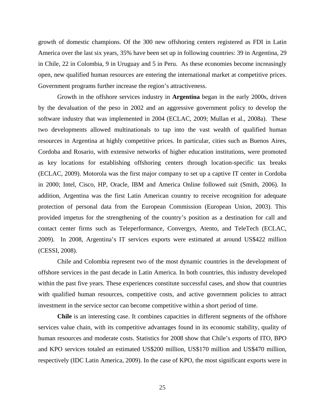growth of domestic champions. Of the 300 new offshoring centers registered as FDI in Latin America over the last six years, 35% have been set up in following countries: 39 in Argentina, 29 in Chile, 22 in Colombia, 9 in Uruguay and 5 in Peru. As these economies become increasingly open, new qualified human resources are entering the international market at competitive prices. Government programs further increase the region's attractiveness.

software industry that was implemented in 2004 (ECLAC, 2009; Mullan et al., 2008a). These two de velopments allowed multinationals to tap into the vast wealth of qualified human Growth in the offshore services industry in **Argentina** began in the early 2000s, driven by the devaluation of the peso in 2002 and an aggressive government policy to develop the resources in Argentina at highly competitive prices. In particular, cities such as Buenos Aires, Cordoba and Rosario, with extensive networks of higher education institutions, were promoted as key locations for establishing offshoring centers through location-specific tax breaks (ECLAC, 2009). Motorola was the first major company to set up a captive IT center in Cordoba in 2000; Intel, Cisco, HP, Oracle, IBM and America Online followed suit (Smith, 2006). In addition, Argentina was the first Latin American country to receive recognition for adequate protection of personal data from the European Commission (European Union, 2003). This provided impetus for the strengthening of the country's position as a destination for call and contact center firms such as Teleperformance, Convergys, Atento, and TeleTech (ECLAC, 2009). In 2008, Argentina's IT services exports were estimated at around US\$422 million (CESSI, 2008).

within the past five years. These experiences constitute successful cases, and show that countries with qu alified human resources, competitive costs, and active government policies to attract Chile and Colombia represent two of the most dynamic countries in the development of offshore services in the past decade in Latin America. In both countries, this industry developed investment in the service sector can become competitive within a short period of time.

human resources and moderate costs. Statistics for 2008 show that Chile's exports of ITO, BPO and KPO services totaled an estimated US\$200 million, US\$170 million and US\$470 million, respectively (IDC Latin America, 2009). In the case of KPO, the most significant exports were in **Chile** is an interesting case. It combines capacities in different segments of the offshore services value chain, with its competitive advantages found in its economic stability, quality of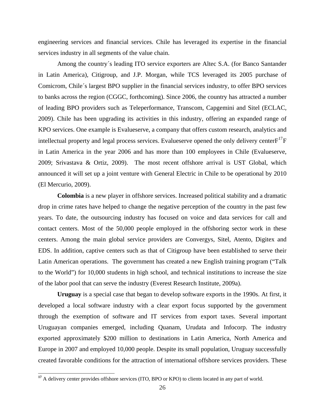enginee ring services and financial services. Chile has leveraged its expertise in the financial services industry in all segments of the value chain.

of leading BPO providers such as Teleperformance, Transcom, Capgemini and Sitel (ECLAC, 2009). Chile has been upgrading its activities in this industry, offering an expanded range of Among the country´s leading ITO service exporters are Altec S.A. (for Banco Santander in Latin America), Citigroup, and J.P. Morgan, while TCS leveraged its 2005 purchase of Comicrom, Chile´s largest BPO supplier in the financial services industry, to offer BPO services to banks across the region (CGGC, forthcoming). Since 2006, the country has attracted a number KPO services. One example is Evalueserve, a company that offers custom research, analytics and intellectual property and legal process services. Evalueserve opened the only delivery center $F^{17}F$  $F^{17}F$  $F^{17}F$ in Latin America in the year 2006 and has more than 100 employees in Chile (Evalueserve, 2009; Srivastava & Ortiz, 2009). The most recent offshore arrival is UST Global, which announced it will set up a joint venture with General Electric in Chile to be operational by 2010 (El Mercurio, 2009).

centers. Among the main global service providers are Convergys, Sitel, Atento, Digitex and EDS. I n addition, captive centers such as that of Citigroup have been established to serve their **Colombia** is a new player in offshore services. Increased political stability and a dramatic drop in crime rates have helped to change the negative perception of the country in the past few years. To date, the outsourcing industry has focused on voice and data services for call and contact centers. Most of the 50,000 people employed in the offshoring sector work in these Latin American operations. The government has created a new English training program ("Talk to the World") for 10,000 students in high school, and technical institutions to increase the size of the labor pool that can serve the industry (Everest Research Institute, 2009a).

exported approximately \$200 million to destinations in Latin America, North America and Europe in 2007 and employed 10,000 people. Despite its small population, Uruguay successfully **Uruguay** is a special case that began to develop software exports in the 1990s. At first, it developed a local software industry with a clear export focus supported by the government through the exemption of software and IT services from export taxes. Several important Uruguayan companies emerged, including Quanam, Urudata and Infocorp. The industry created favorable conditions for the attraction of international offshore services providers. These

<span id="page-28-0"></span><sup>&</sup>lt;sup>17</sup> A delivery center provides offshore services (ITO, BPO or KPO) to clients located in any part of world.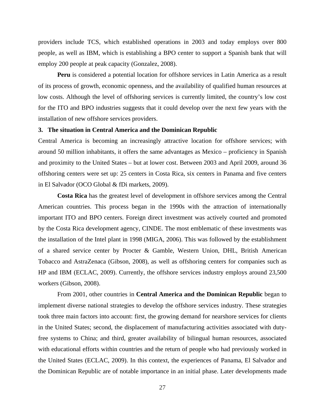providers include TCS, which established operations in 2003 and today employs over 800 people, as well as IBM, which is establishing a BPO center to support a Spanish bank that will employ 200 people at peak capacity (Gonzalez, 2008).

**Peru** is considered a potential location for offshore services in Latin America as a result of its process of growth, economic openness, and the availability of qualified human resources at low costs. Although the level of offshoring services is currently limited, the country's low cost for the ITO and BPO industries suggests that it could develop over the next few years with the installation of new offshore services providers.

### **3. The situation in Central America and the Dominican Republic**

offshoring centers were set up: 25 centers in Costa Rica, six centers in Panama and five centers Central America is becoming an increasingly attractive location for offshore services; with around 50 million inhabitants, it offers the same advantages as Mexico – proficiency in Spanish and proximity to the United States – but at lower cost. Between 2003 and April 2009, around 36 in El Salvador (OCO Global & fDi markets, 2009).

the installation of the Intel plant in 1998 (MIGA, 2006). This was followed by the establishment of a sh ared service center by Procter & Gamble, Western Union, DHL, British American **Costa Rica** has the greatest level of development in offshore services among the Central American countries. This process began in the 1990s with the attraction of internationally important ITO and BPO centers. Foreign direct investment was actively courted and promoted by the Costa Rica development agency, CINDE. The most emblematic of these investments was Tobacco and AstraZenaca (Gibson, 2008), as well as offshoring centers for companies such as HP and IBM (ECLAC, 2009). Currently, the offshore services industry employs around 23,500 workers (Gibson, 2008).

free systems to China; and third, greater availability of bilingual human resources, associated with ed ucational efforts within countries and the return of people who had previously worked in From 2001, other countries in **Central America and the Dominican Republic** began to implement diverse national strategies to develop the offshore services industry. These strategies took three main factors into account: first, the growing demand for nearshore services for clients in the United States; second, the displacement of manufacturing activities associated with dutythe United States (ECLAC, 2009). In this context, the experiences of Panama, El Salvador and the Dominican Republic are of notable importance in an initial phase. Later developments made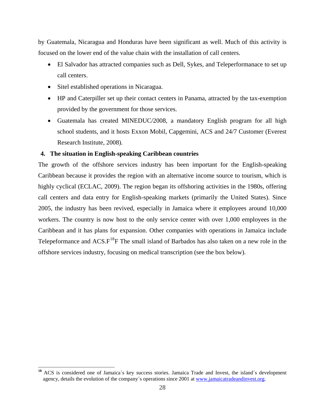by Guatemala, Nicaragua and Honduras have been significant as well. Much of this activity is focused on the lower end of the value chain with the installation of call centers.

- El Salvador has attracted companies such as Dell, Sykes, and Teleperformanace to set up call centers.
- Sitel established operations in Nicaragua.

 $\overline{a}$ 

- HP and Caterpiller set up their contact centers in Panama, attracted by the tax-exemption provided by the government for those services.
- Guatemala has created MINEDUC/2008, a mandatory English program for all high school students, and it hosts Exxon Mobil, Capgemini, ACS and 24/7 Customer (Everest Research Institute, 2008).

### **4. The situation in English-speaking Caribbean countries**

The growth of the offshore services industry has been important for the English-speaking call centers and data entry for English-speaking markets (primarily the United States). Since 2005, the industry has been revived, especially in Jamaica where it employees around 10,000 Caribbean because it provides the region with an alternative income source to tourism, which is highly cyclical (ECLAC, 2009). The region began its offshoring activities in the 1980s, offering workers. The country is now host to the only service center with over 1,000 employees in the Caribbean and it has plans for expansion. Other companies with operations in Jamaica include Telepeformance and  $ACS.F^{18}F$  The small island of Barbados has also taken on a new role in the [offshore services industry, focusing on medical transcription \(see the box below\).](#page-30-0) 

<span id="page-30-0"></span><sup>&</sup>lt;sup>18</sup> ACS is considered one of Jamaica´s key success stories. Jamaica Trade and Invest, the island´s development agency, details the evolution of the company´s operations since 2001 at www.jamaicatradeandinvest.org.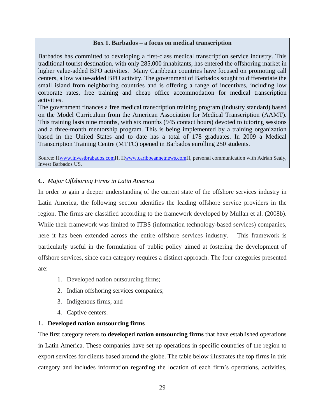### **Box 1. Barbados – a focus on medical transcription**

Barbados has committed to developing a first-class medical transcription service industry. This traditional tourist destination, with only 285,000 inhabitants, has entered the offshoring market in higher value-added BPO activities. Many Caribbean countries have focused on promoting call centers, a low value-added BPO activity. The government of Barbados sought to differentiate the small island from neighboring countries and is offering a range of incentives, including low corporate rates, free training and cheap office accommodation for medical transcription activities.

The government finances a free medical transcription training program (industry standard) based on the Model Curriculum from the American Association for Medical Transcription (AAMT). This training lasts nine months, with six months (945 contact hours) devoted to tutoring sessions and a three-month mentorship program. This is being implemented by a training organization based in the United States and to date has a total of 178 graduates. In 2009 a Medical Transcription Training Centre (MTTC) opened in Barbados enrolling 250 students.

Source: [Hwww.investbrabados.com](http://www.investbrabados.com/)H, H[www.caribbeannetnews.com](http://www.caribbeannetnews.com/)H, personal communication with Adrian Sealy, Invest Barbados US.

### **C.** *Major Offshoring Firms in Latin America*

In order to gain a deeper understanding of the current state of the offshore services industry in Latin America, the following section identifies the leading offshore service providers in the region. The firms are classified according to the framework developed by Mullan et al. (2008b). While their framework was limited to ITBS (information technology-based services) companies, here it has been extended across the entire offshore services industry. This framework is particularly useful in the formulation of public policy aimed at fostering the development of offshore services, since each category requires a distinct approach. The four categories presented are:

- 1. Developed nation outsourcing firms;
- 2. Indian offshoring services companies;
- 3. Indigenous firms; and
- 4. Captive centers.

### **1. Developed nation outsourcing firms**

The first category refers to **developed nation outsourcing firms** that have established operations in Latin America. These companies have set up operations in specific countries of the region to export services for clients based around the globe. The table below illustrates the top firms in this category and includes information regarding the location of each firm's operations, activities,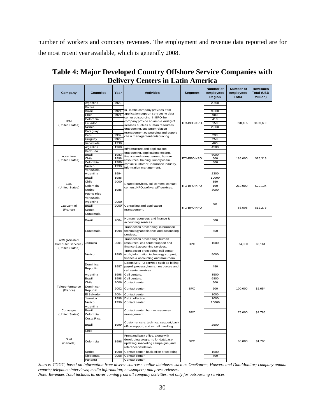<span id="page-32-0"></span>number of workers and company revenues. The employment and revenue data reported are for the most recent year available, which is generally 2008.

| Company                                                                | <b>Countries</b>      | Year         | <b>Activities</b>                                                                                                                    | Segment     | Number of<br>employees<br>Region | Number of<br>employees<br><b>Total</b> | <b>Revenues</b><br><b>Total (USD</b><br><b>Million</b> ) |
|------------------------------------------------------------------------|-----------------------|--------------|--------------------------------------------------------------------------------------------------------------------------------------|-------------|----------------------------------|----------------------------------------|----------------------------------------------------------|
|                                                                        | Argentina             | 1923         |                                                                                                                                      |             | 2,600                            |                                        |                                                          |
|                                                                        | Bolivia               |              | In ITO the company provides from                                                                                                     |             |                                  |                                        |                                                          |
|                                                                        | Brazil                | 1924         | application support services to data                                                                                                 |             | 9,000                            |                                        |                                                          |
| <b>IBM</b>                                                             | Chile                 | 1924         | center outsourcing. In BPO the                                                                                                       |             | 900                              |                                        |                                                          |
|                                                                        | Colombia<br>Ecuador   |              | company provide an ample variety of                                                                                                  | ITO-BPO-KPO | 418<br>150                       |                                        | \$103,630                                                |
| (United States)                                                        | Mexico                |              | services such as human resources                                                                                                     |             | 2,000                            | 398,455                                |                                                          |
|                                                                        | Paraguay              |              | outsourcing, customer relation                                                                                                       |             |                                  |                                        |                                                          |
|                                                                        | Peru                  | 1932         | management outsourcing and supply                                                                                                    |             | 230                              |                                        |                                                          |
|                                                                        | Uruguay               | 1929         | chain management outsourcing.                                                                                                        |             | 250                              |                                        |                                                          |
|                                                                        | Venezuela             | 1938         |                                                                                                                                      |             | 400                              |                                        |                                                          |
|                                                                        | Argentina             | 1968         | Infrastructure and applications                                                                                                      |             | 4500                             |                                        |                                                          |
|                                                                        | Bermuda               |              | outsourcing, applications testing,                                                                                                   |             |                                  |                                        |                                                          |
| Accenture                                                              | Brazil                | 1983         | finance and management, human                                                                                                        |             | 6000                             |                                        |                                                          |
| (United States)                                                        | Chile                 | 1998         | resources, training, supply chain,                                                                                                   | ITO-BPO-KPO | 500                              | 186,000                                | \$25,313                                                 |
|                                                                        | Colombia<br>Mexico    | 1989<br>1990 | contact customer, insurance industry,                                                                                                |             | 300                              |                                        |                                                          |
|                                                                        | Venezuela             |              | information management.                                                                                                              |             |                                  |                                        |                                                          |
|                                                                        | Argentina             | 1994         |                                                                                                                                      |             | 2300                             |                                        |                                                          |
|                                                                        | Brazil                | 1985         |                                                                                                                                      |             | 10000                            |                                        |                                                          |
|                                                                        | Chile                 | 2000         |                                                                                                                                      |             | 350                              |                                        |                                                          |
| <b>EDS</b><br>(United States)                                          | Colombia              |              | Shared services, call centers, contact<br>centers, KPO, software/IT services.                                                        | ITO-BPO-KPO | 190                              | 210,000                                | \$22,134                                                 |
|                                                                        | Mexico                | 1985         |                                                                                                                                      |             | 3000                             |                                        |                                                          |
|                                                                        | Puerto Rico           |              |                                                                                                                                      |             |                                  |                                        |                                                          |
|                                                                        | Venezuela             |              |                                                                                                                                      |             |                                  |                                        |                                                          |
|                                                                        | Argentina             | 2000         |                                                                                                                                      |             | 90                               |                                        |                                                          |
| CapGemini                                                              | Brazil                | 2000         | Consulting and application                                                                                                           | ITO-BPO-KPO |                                  | 83,508                                 | \$12,276                                                 |
| (France)                                                               | Mexico                |              | management.                                                                                                                          |             |                                  |                                        |                                                          |
|                                                                        | Guatemala             |              |                                                                                                                                      |             |                                  |                                        |                                                          |
|                                                                        | Brazil                | 2004         | Human resources and finance &<br>accounting services.                                                                                |             | 300                              |                                        |                                                          |
|                                                                        | Guatemala             | 1998         | Transaction processing, information<br>technology and finance and accounting<br>services.                                            |             | 650                              |                                        |                                                          |
| <b>ACS</b> (Affiliated<br><b>Computer Services)</b><br>(United States) | Jamaica               | 2001         | Transaction processing, human<br>resources, call center support and<br>finance & accounting services.                                | <b>BPO</b>  | 1500                             | 74,000                                 | \$6,161                                                  |
|                                                                        | Mexico                | 1995         | Transaction processing, call center<br>work, information technology support,<br>finance & accounting and mail-room                   |             | 5000                             |                                        |                                                          |
|                                                                        | Dominican<br>Republic | 1987         | Extensive BPO services such as billing,<br>payroll process, human resources and<br>call center services.                             |             | 480                              |                                        |                                                          |
|                                                                        | Argentina             | 1998         | Call centers.                                                                                                                        |             | 3500                             |                                        |                                                          |
|                                                                        | Brazil                | 1998         | Call centers.                                                                                                                        |             | 6800                             |                                        |                                                          |
|                                                                        | Chile                 | 2006         | Contact center.                                                                                                                      |             | 500                              |                                        |                                                          |
| Teleperformance<br>(France)                                            | Dominican<br>Republic | 2002         | Contact center.                                                                                                                      | <b>BPO</b>  | 200                              | 100,000                                | \$2,654                                                  |
|                                                                        | El Salvador           | 2004         | Contact center.                                                                                                                      |             | 1000<br>1000                     |                                        |                                                          |
|                                                                        | Jamaica<br>Mexico     | 1998<br>1996 | Debt collection.<br>Contact center.                                                                                                  |             | 10000                            |                                        |                                                          |
|                                                                        | Argentina             |              |                                                                                                                                      |             |                                  |                                        |                                                          |
| Convergys                                                              | Brazil                |              | Contact center, human resources                                                                                                      |             |                                  |                                        |                                                          |
| (United States)                                                        | Colombia              |              | management.                                                                                                                          | <b>BPO</b>  |                                  | 75,000                                 | \$2,786                                                  |
|                                                                        | Costa Rica            |              |                                                                                                                                      |             |                                  |                                        |                                                          |
|                                                                        | Brazil                | 1999         | Customer care, technical support, back<br>office support, and e-mail handling                                                        |             | 2500                             |                                        |                                                          |
|                                                                        | Chile                 |              |                                                                                                                                      |             |                                  |                                        |                                                          |
| Sitel<br>(Canada)                                                      | Colombia              | 1998         | Front and back office, along with<br>developing programs for database<br>updating, marketing campaigns, and<br>reference validation. | <b>BPO</b>  |                                  | 66,000                                 | \$1,700                                                  |
|                                                                        | Mexico                | 1998         | Contact center, back office processing.                                                                                              |             | 1500                             |                                        |                                                          |
|                                                                        | Nicaragua             | 2008         | Contact center.                                                                                                                      |             | 700                              |                                        |                                                          |
|                                                                        | Panama                |              | Contact center.                                                                                                                      |             |                                  |                                        |                                                          |

### **Table 4: Major Developed Country Offshore Service Companies with Delivery Centers in Latin America**

*Source: CGGC, based on information from diverse sources: online databases such as OneSource, Hoovers and DataMonitor; company annual reports; telephone interviews; media information; newspapers; and press releases.* 

*Note: Revenues Total includes turnover coming from all company activities, not only for outsourcing services.*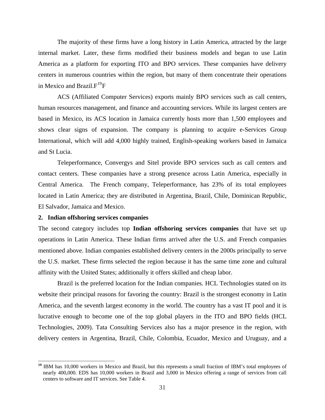The majority of these firms have a long history in Latin America, attracted by the large internal market. Later, these firms modified their business models and began to use Latin America as a platform for exporting ITO and BPO services. These companies have delivery centers in numerous countries within the region, but many of them concentrate their operations in Mexico and Brazil. $F^{19}F$  $F^{19}F$  $F^{19}F$ 

ACS (Affiliated Computer Services) exports mainly BPO services such as call centers, human resources management, and finance and accounting services. While its largest centers are based in Mexico, its ACS location in Jamaica currently hosts more than 1,500 employees and shows clear signs of expansion. The company is planning to acquire e-Services Group International, which will add 4,000 highly trained, English-speaking workers based in Jamaica and St Lucia.

Teleperformance, Convergys and Sitel provide BPO services such as call centers and contact centers. These companies have a strong presence across Latin America, especially in Central America. The French company, Teleperformance, has 23% of its total employees located in Latin America; they are distributed in Argentina, Brazil, Chile, Dominican Republic, El Salvador, Jamaica and Mexico.

#### **2. Indian offshoring services companies**

 $\overline{a}$ 

The second category includes top **Indian offshoring services companies** that have set up operations in Latin America. These Indian firms arrived after the U.S. and French companies mentioned above. Indian companies established delivery centers in the 2000s principally to serve the U.S. market. These firms selected the region because it has the same time zone and cultural affinity with the United States; additionally it offers skilled and cheap labor.

Brazil is the preferred location for the Indian companies. HCL Technologies stated on its website their principal reasons for favoring the country: Brazil is the strongest economy in Latin America, and the seventh largest economy in the world. The country has a vast IT pool and it is lucrative enough to become one of the top global players in the ITO and BPO fields (HCL Technologies, 2009). Tata Consulting Services also has a major presence in the region, with delivery centers in Argentina, Brazil, Chile, Colombia, Ecuador, Mexico and Uruguay, and a

<span id="page-33-0"></span>**<sup>19</sup>** IBM has 10,000 workers in Mexico and Brazil, but this represents a small fraction of IBM's total employees of nearly 400,000. EDS has 10,000 workers in Brazil and 3,000 in Mexico offering a range of services from call centers to software and IT services. See Table 4.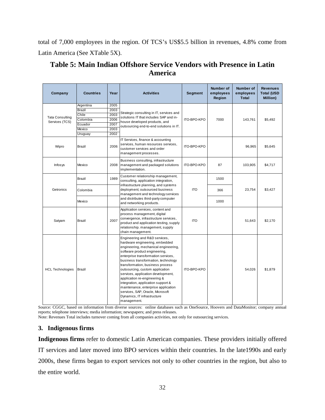<span id="page-34-0"></span>total of 7,000 employees in the region. Of TCS's US\$5.5 billion in revenues, 4.8% come from Latin America (See X[Table 5X](#page-34-0)).

| Table 5: Main Indian Offshore Service Vendors with Presence in Latin |  |
|----------------------------------------------------------------------|--|
| America                                                              |  |

| Company                 | Countries | Year | <b>Activities</b>                                                                                                                                                                                                                                                                                                                                                                                                                                                                                                                  | Segment            | <b>Number of</b><br>employees<br>Region | Number of<br>employees<br><b>Total</b> | <b>Revenues</b><br><b>Total (USD</b><br>Million) |
|-------------------------|-----------|------|------------------------------------------------------------------------------------------------------------------------------------------------------------------------------------------------------------------------------------------------------------------------------------------------------------------------------------------------------------------------------------------------------------------------------------------------------------------------------------------------------------------------------------|--------------------|-----------------------------------------|----------------------------------------|--------------------------------------------------|
|                         | Argentina | 2005 |                                                                                                                                                                                                                                                                                                                                                                                                                                                                                                                                    |                    |                                         |                                        |                                                  |
|                         | Brazil    | 2003 | Strategic consulting in IT, services and                                                                                                                                                                                                                                                                                                                                                                                                                                                                                           |                    |                                         |                                        |                                                  |
| <b>Tata Consulting</b>  | Chile     | 2003 | solutions IT that includes SAP and in-                                                                                                                                                                                                                                                                                                                                                                                                                                                                                             |                    |                                         |                                        |                                                  |
| Services (TCS)          | Colombia  | 2006 | house developed products, and                                                                                                                                                                                                                                                                                                                                                                                                                                                                                                      | ITO-BPO-KPO        | 7000                                    | 143,761                                | \$5,492                                          |
|                         | Ecuador   | 2007 | outsourcing end-to-end solutions in IT.                                                                                                                                                                                                                                                                                                                                                                                                                                                                                            |                    |                                         |                                        |                                                  |
|                         | Mexico    | 2003 |                                                                                                                                                                                                                                                                                                                                                                                                                                                                                                                                    |                    |                                         |                                        |                                                  |
|                         | Uruguay   | 2002 |                                                                                                                                                                                                                                                                                                                                                                                                                                                                                                                                    |                    |                                         |                                        |                                                  |
| Wipro                   | Brazil    | 2006 | IT Services, finance & accounting<br>services, human resources services,<br>customer services and order<br>management processes.                                                                                                                                                                                                                                                                                                                                                                                                   | <b>ITO-BPO-KPO</b> |                                         | 96,965                                 | \$5,645                                          |
| Infosys                 | Mexico    | 2008 | Business consulting, infrastructure<br>management and packaged solutions<br>implementation.                                                                                                                                                                                                                                                                                                                                                                                                                                        | <b>ITO-BPO-KPO</b> | 87                                      | 103,905                                | \$4,717                                          |
|                         | Brazil    | 1989 | Customer relationship management,<br>consulting, application integration,                                                                                                                                                                                                                                                                                                                                                                                                                                                          | <b>ITO</b>         | 1500                                    |                                        |                                                  |
| Getronics               | Colombia  |      | infrastructure planning, and systems<br>deployment; outsourced business<br>management and technology services                                                                                                                                                                                                                                                                                                                                                                                                                      |                    | 366                                     | 23,754                                 | \$3,427                                          |
|                         | Mexico    |      | and distributes third-party computer<br>and networking products.                                                                                                                                                                                                                                                                                                                                                                                                                                                                   |                    | 1000                                    |                                        |                                                  |
| Satyam                  | Brazil    | 2007 | Application services, content and<br>process management, digital<br>convergence, infrastructure services,<br>product and application testing, supply<br>relationship. management, supply<br>chain management.                                                                                                                                                                                                                                                                                                                      | <b>ITO</b>         |                                         | 51,643                                 | \$2,170                                          |
| <b>HCL Technologies</b> | Brazil    |      | Engineering and R&D services,<br>hardware engineering, embedded<br>engineering, mechanical engineering,<br>software product engineering,<br>enterprise transformation services,<br>business transformation, technology<br>transformation, business process<br>outsourcing, custom application<br>services, application development,<br>application re-engineering &<br>integration, application support &<br>maintenance, enterprise application<br>services, SAP, Oracle, Microsoft<br>Dynamics, IT infrastructure<br>management. | <b>ITO-BPO-KPO</b> |                                         | 54,026                                 | \$1,879                                          |

Source: CGGC, based on information from diverse sources: online databases such as OneSource, Hoovers and DataMonitor; company annual reports; telephone interviews; media information; newspapers; and press releases.

Note: Revenues Total includes turnover coming from all companies activities, not only for outsourcing services.

### **3. Indigenous firms**

**Indigenous firms** refer to domestic Latin American companies. These providers initially offered IT services and later moved into BPO services within their countries. In the late1990s and early 2000s, these firms began to export services not only to other countries in the region, but also to the entire world.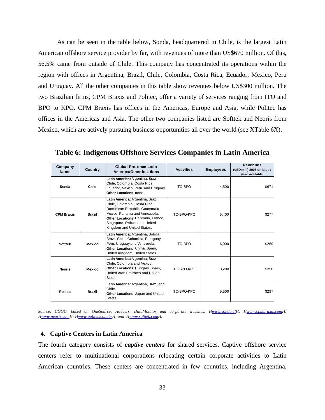As can be seen in the table below, Sonda, headquartered in Chile, is the largest Latin American offshore service provider by far, with revenues of more than US\$670 million. Of this, 56.5% came from outside of Chile. This company has concentrated its operations within the region with offices in Argentina, Brazil, Chile, Colombia, Costa Rica, Ecuador, Mexico, Peru and Uruguay. All the other companies in this table show revenues below US\$300 million. The two Brazilian firms, CPM Braxis and Politec, offer a variety of services ranging from ITO and BPO to KPO. CPM Braxis has offices in the Americas, Europe and Asia, while Politec has offices in the Americas and Asia. The other two companies listed are Softtek and Neoris from Mexico, which are actively pursuing business opportunities all over the world (see X[Table 6X](#page-35-0)).

<span id="page-35-0"></span>

| Company<br><b>Name</b> | Country       | <b>Global Presence Latin</b><br><b>America/Other locations</b>                                                                                                                                                                            | <b>Activities</b>  | <b>Employees</b> | <b>Revenues</b><br>(USD mill) 2008 or latest<br>vear available |
|------------------------|---------------|-------------------------------------------------------------------------------------------------------------------------------------------------------------------------------------------------------------------------------------------|--------------------|------------------|----------------------------------------------------------------|
| Sonda                  | Chile         | Latin America: Argentina, Brazil,<br>Chile, Colombia, Costa Rica,<br>Ecuador, Mexico, Peru and Uruguay.<br>Other Locations: none.                                                                                                         | <b>ITO-BPO</b>     | 4,500            | \$671                                                          |
| <b>CPM Braxis</b>      | <b>Brazil</b> | Latin America: Argentina, Brazil,<br>Chile, Colombia, Costa Rica.<br>Dominican Republic, Guatemala,<br>Mexico. Panama and Venezuela.<br>Other Locations: Denmark, France,<br>Singapore, Switzerland, United<br>Kingdom and United States. | ITO-BPO-KPO        | 5,400            | \$277                                                          |
| <b>Softtek</b>         | Mexico        | Latin America: Argentina, Bolivia,<br>Brazil, Chile, Colombia, Paraguay,<br>Peru, Uruguay and Venezuela.<br>Other Locations: China, Spain,<br>United Kingdom, United States.                                                              | <b>ITO-BPO</b>     | 6,000            | \$269                                                          |
| <b>Neoris</b>          | Mexico        | Latin America: Argentina, Brazil,<br>Chile, Colombia and Mexico.<br>Other Locations: Hungary, Spain,<br>United Arab Emirates and United<br><b>States</b>                                                                                  | <b>ITO-BPO-KPO</b> | 3,200            | \$250                                                          |
| <b>Politec</b>         | <b>Brazil</b> | Latin America: Argentina, Brazil and<br>Chile.<br>Other Locations: Japan and United<br>States.                                                                                                                                            | <b>ITO-BPO-KPO</b> | 5,500            | \$237                                                          |

**Table 6: Indigenous Offshore Services Companies in Latin America** 

*Source: CGGC, based on OneSource, Hoovers, DataMonitor and corporate websites: [Hwww.sonda.cl](http://www.sonda.cl/)H; H[www.cpmbraxis.comH](http://www.cpmbraxis.com/); H* <sup>H</sup>*www.neoris.co[mH; H](http://www.neoris.com/)www.politec.com.br[H; and Hw](http://www.politec.com.br/)ww.softtek.com[H.](http://www.softtek.com/)* 

### **4. Captive Centers in Latin America**

The fourth category consists of *captive centers* for shared services. Captive offshore service centers refer to multinational corporations relocating certain corporate activities to Latin American countries. These centers are concentrated in few countries, including Argentina,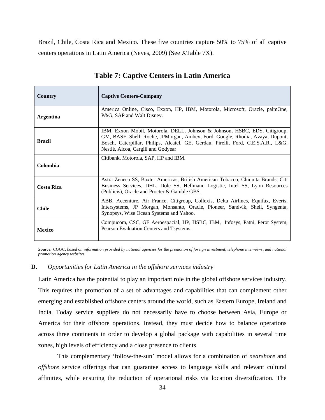Brazil, Chile, Costa Rica and Mexico. These five countries capture 50% to 75% of all captive centers operations in Latin America (Neves, 2009) (See XTable 7X).

<span id="page-36-0"></span>

| Country           | <b>Captive Centers-Company</b>                                                                                                                                                                                                                                                         |
|-------------------|----------------------------------------------------------------------------------------------------------------------------------------------------------------------------------------------------------------------------------------------------------------------------------------|
| <b>Argentina</b>  | America Online, Cisco, Exxon, HP, IBM, Motorola, Microsoft, Oracle, palmOne,<br>P&G, SAP and Walt Disney.                                                                                                                                                                              |
| <b>Brazil</b>     | IBM, Exxon Mobil, Motorola, DELL, Johnson & Johnson, HSBC, EDS, Citigroup,<br>GM, BASF, Shell, Roche, JPMorgan, Ambev, Ford, Google, Rhodia, Avaya, Dupont,<br>Bosch, Caterpillar, Philips, Alcatel, GE, Gerdau, Pirelli, Ford, C.E.S.A.R., L&G.<br>Nestlé, Alcoa, Cargill and Godyear |
| Colombia          | Citibank, Motorola, SAP, HP and IBM.                                                                                                                                                                                                                                                   |
| <b>Costa Rica</b> | Astra Zeneca SS, Baxter Americas, British American Tobacco, Chiquita Brands, Citi<br>Business Services, DHL, Dole SS, Hellmann Logistic, Intel SS, Lyon Resources<br>(Publicis), Oracle and Procter & Gamble GBS.                                                                      |
| <b>Chile</b>      | ABB, Accenture, Air France, Citigroup, Collexis, Delta Airlines, Equifax, Everis,<br>Intersystems, JP Morgan, Monsanto, Oracle, Pioneer, Sandvik, Shell, Syngenta,<br>Synopsys, Wise Ocean Systems and Yahoo.                                                                          |
| <b>Mexico</b>     | Compucom, CSC, GE Aeroespacial, HP, HSBC, IBM, Infosys, Patni, Perot System,<br>Pearson Evaluation Centers and Tsystems.                                                                                                                                                               |

### **Table 7: Captive Centers in Latin America**

*Source: CGGC, based on information provided by national agencies for the promotion of foreign investment, telephone interviews, and national promotion agency websites.* 

### **D.** *Opportunities for Latin America in the offshore services industry*

Latin America has the potential to play an important role in the global offshore services industry. This requires the promotion of a set of advantages and capabilities that can complement other emerging and established offshore centers around the world, such as Eastern Europe, Ireland and India. Today service suppliers do not necessarily have to choose between Asia, Europe or America for their offshore operations. Instead, they must decide how to balance operations across three continents in order to develop a global package with capabilities in several time zones, high levels of efficiency and a close presence to clients.

This complementary 'follow-the-sun' model allows for a combination of *nearshore* and *offshore* service offerings that can guarantee access to language skills and relevant cultural affinities, while ensuring the reduction of operational risks via location diversification. The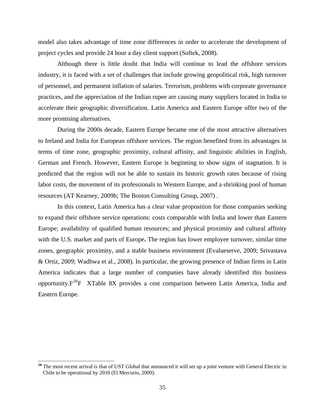model also takes advantage of time zone differences in order to accelerate the development of project cycles and provide 24 hour a day client support (Softek, 2008).

Although there is little doubt that India will continue to lead the offshore services industry, it is faced with a set of challenges that include growing geopolitical risk, high turnover of personnel, and permanent inflation of salaries. Terrorism, problems with corporate governance practices, and the appreciation of the Indian rupee are causing many suppliers located in India to accelerate their geographic diversification. Latin America and Eastern Europe offer two of the more promising alternatives.

During the 2000s decade, Eastern Europe became one of the most attractive alternatives to Ireland and India for European offshore services. The region benefited from its advantages in terms of time zone, geographic proximity, cultural affinity, and linguistic abilities in English, German and French. However, Eastern Europe is beginning to show signs of stagnation. It is predicted that the region will not be able to sustain its historic growth rates because of rising labor costs, the movement of its professionals to Western Europe, and a shrinking pool of human resources (AT Kearney, 2009b; The Boston Consulting Group, 2007) .

In this context, Latin America has a clear value proposition for those companies seeking to expand their offshore service operations: costs comparable with India and lower than Eastern Europe; availability of qualified human resources; and physical proximity and cultural affinity with the U.S. market and parts of Europe**.** The region has lower employee turnover, similar time zones, geographic proximity, and a stable business environment (Evalueserve, 2009; Srivastava & Ortiz, 2009; Wadhwa et al., 2008). In particular, the growing presence of Indian firms in Latin America indicates that a large number of companies have already identified this business opportunity. $F^{20}F$  $F^{20}F$  $F^{20}F$  [XTable 8](#page-38-0)X provides a cost comparison between Latin America, India and Eastern Europe.

<span id="page-37-0"></span>**<sup>20</sup>** The most recent arrival is that of UST Global that announced it will set up a joint venture with General Electric in Chile to be operational by 2010 (El Mercurio, 2009).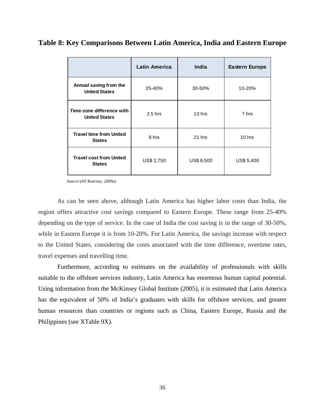|                                                   | <b>Latin America</b> | India            | <b>Eastern Europe</b> |
|---------------------------------------------------|----------------------|------------------|-----------------------|
| Annual saving from the<br><b>United States</b>    | 25-40%               | 30-50%           | 10-20%                |
| Time-zone difference with<br><b>United States</b> | $2.5$ hrs            | 13 hrs           | 7 hrs                 |
| <b>Travel time from United</b><br><b>States</b>   | 8 hrs                | 21 hrs           | 10 hrs                |
| <b>Travel cost from United</b><br><b>States</b>   | US\$ 2,750           | <b>US\$8,500</b> | US\$ 5,400            |

**Table 8: Key Comparisons Between Latin America, India and Eastern Europe** 

*Source:(AT Kearney, 2009a)* 

As can be seen above, although Latin America has higher labor costs than India, the region offers attractive cost savings compared to Eastern Europe. These range from 25-40% depending on the type of service. In the case of India the cost saving is in the range of 30-50%, while in Eastern Europe it is from 10-20%. For Latin America, the savings increase with respect to the United States, considering the costs associated with the time difference, overtime rates, travel expenses and travelling time.

<span id="page-38-0"></span>Furthermore, according to estimates on the availability of professionals with skills suitable to the offshore services industry, Latin America has enormous human capital potential. Using information from the McKinsey Global Institute (2005), it is estimated that Latin America has the equivalent of 50% of India's graduates with skills for offshore services, and greater human resources than countries or regions such as China, Eastern Europe, Russia and the Philippines (see [XTable 9](#page-39-0)X).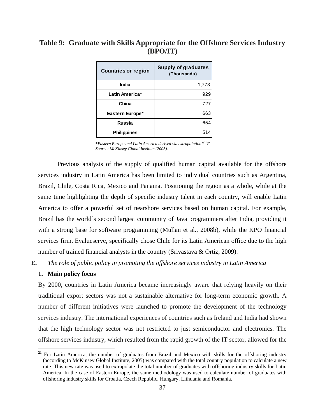<span id="page-39-0"></span>

| Table 9: Graduate with Skills Appropriate for the Offshore Services Industry |
|------------------------------------------------------------------------------|
| (BPO/IT)                                                                     |

| <b>Countries or region</b> | <b>Supply of graduates</b><br>(Thousands) |
|----------------------------|-------------------------------------------|
| India                      | 1,773                                     |
| Latin America*             | 929                                       |
| China                      | 727                                       |
| Eastern Europe*            | 663                                       |
| <b>Russia</b>              | 654                                       |
| <b>Philippines</b>         | 514                                       |

\**Eastern Europe and Latin America derived via extrapolationF[21](#page-39-1)F Source: McKinsey Global Institute (2005).* 

Previous analysis of the supply of qualified human capital available for the offshore services industry in Latin America has been limited to individual countries such as Argentina, Brazil, Chile, Costa Rica, Mexico and Panama. Positioning the region as a whole, while at the same time highlighting the depth of specific industry talent in each country, will enable Latin America to offer a powerful set of nearshore services based on human capital. For example, Brazil has the world´s second largest community of Java programmers after India, providing it with a strong base for software programming (Mullan et al., 2008b), while the KPO financial services firm, Evalueserve, specifically chose Chile for its Latin American office due to the high number of trained financial analysts in the country (Srivastava & Ortiz, 2009).

**E.** *The role of public policy in promoting the offshore services industry in Latin America* 

### **1. Main policy focus**

 $\overline{a}$ 

By 2000, countries in Latin America became increasingly aware that relying heavily on their traditional export sectors was not a sustainable alternative for long-term economic growth. A number of different initiatives were launched to promote the development of the technology services industry. The international experiences of countries such as Ireland and India had shown that the high technology sector was not restricted to just semiconductor and electronics. The offshore services industry, which resulted from the rapid growth of the IT sector, allowed for the

<span id="page-39-1"></span><sup>&</sup>lt;sup>21</sup> For Latin America, the number of graduates from Brazil and Mexico with skills for the offshoring industry (according to McKinsey Global Institute, 2005) was compared with the total country population to calculate a new rate. This new rate was used to extrapolate the total number of graduates with offshoring industry skills for Latin America. In the case of Eastern Europe, the same methodology was used to calculate number of graduates with offshoring industry skills for Croatia, Czech Republic, Hungary, Lithuania and Romania.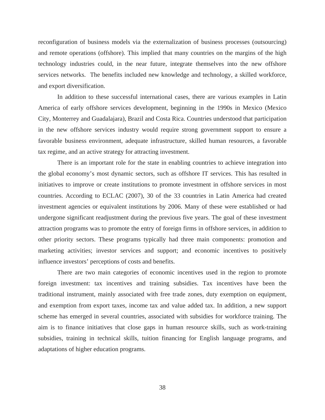reconfiguration of business models via the externalization of business processes (outsourcing) and remote operations (offshore). This implied that many countries on the margins of the high technology industries could, in the near future, integrate themselves into the new offshore services networks. The benefits included new knowledge and technology, a skilled workforce, and export diversification.

In addition to these successful international cases, there are various examples in Latin America of early offshore services development, beginning in the 1990s in Mexico (Mexico City, Monterrey and Guadalajara), Brazil and Costa Rica. Countries understood that participation in the new offshore services industry would require strong government support to ensure a favorable business environment, adequate infrastructure, skilled human resources, a favorable tax regime, and an active strategy for attracting investment.

There is an important role for the state in enabling countries to achieve integration into the global economy's most dynamic sectors, such as offshore IT services. This has resulted in initiatives to improve or create institutions to promote investment in offshore services in most countries. According to ECLAC (2007), 30 of the 33 countries in Latin America had created investment agencies or equivalent institutions by 2006. Many of these were established or had undergone significant readjustment during the previous five years. The goal of these investment attraction programs was to promote the entry of foreign firms in offshore services, in addition to other priority sectors. These programs typically had three main components: promotion and marketing activities; investor services and support; and economic incentives to positively influence investors' perceptions of costs and benefits.

There are two main categories of economic incentives used in the region to promote foreign investment: tax incentives and training subsidies. Tax incentives have been the traditional instrument, mainly associated with free trade zones, duty exemption on equipment, and exemption from export taxes, income tax and value added tax. In addition, a new support scheme has emerged in several countries, associated with subsidies for workforce training. The aim is to finance initiatives that close gaps in human resource skills, such as work-training subsidies, training in technical skills, tuition financing for English language programs, and adaptations of higher education programs.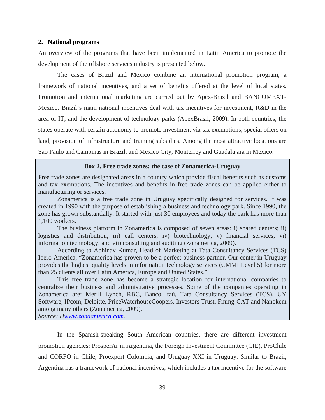#### **2. National programs**

An overview of the programs that have been implemented in Latin America to promote the development of the offshore services industry is presented below.

The cases of Brazil and Mexico combine an international promotion program, a framework of national incentives, and a set of benefits offered at the level of local states. Promotion and international marketing are carried out by Apex-Brazil and BANCOMEXT-Mexico. Brazil's main national incentives deal with tax incentives for investment, R&D in the area of IT, and the development of technology parks (ApexBrasil, 2009). In both countries, the states operate with certain autonomy to promote investment via tax exemptions, special offers on land, provision of infrastructure and training subsidies. Among the most attractive locations are Sao Paulo and Campinas in Brazil, and Mexico City, Monterrey and Guadalajara in Mexico.

### **Box 2. Free trade zones: the case of Zonamerica-Uruguay**

Free trade zones are designated areas in a country which provide fiscal benefits such as customs and tax exemptions. The incentives and benefits in free trade zones can be applied either to manufacturing or services.

Zonamerica is a free trade zone in Uruguay specifically designed for services. It was created in 1990 with the purpose of establishing a business and technology park. Since 1990, the zone has grown substantially. It started with just 30 employees and today the park has more than 1,100 workers.

The business platform in Zonamerica is composed of seven areas: i) shared centers; ii) logistics and distribution; iii) call centers; iv) biotechnology; v) financial services; vi) information technology; and vii) consulting and auditing (Zonamerica, 2009).

According to Abhinav Kumar, Head of Marketing at Tata Consultancy Services (TCS) Ibero America, "Zonamerica has proven to be a perfect business partner. Our center in Uruguay provides the highest quality levels in information technology services (CMMI Level 5) for more than 25 clients all over Latin America, Europe and United States."

This free trade zone has become a strategic location for international companies to centralize their business and administrative processes. Some of the companies operating in Zonamerica are: Merill Lynch, RBC, Banco Itaú, Tata Consultancy Services (TCS), UY Software, IPcom, Deloitte, PriceWaterhouseCoopers, Investors Trust, Fining-CAT and Nanokem among many others (Zonamerica, 2009).

*Source: [Hwww.zonaamerica.com](http://www.zonaamerica.com/)*.

In the Spanish-speaking South American countries, there are different investment promotion agencies: ProsperAr in Argentina, the Foreign Investment Committee (CIE), ProChile and CORFO in Chile, Proexport Colombia, and Uruguay XXI in Uruguay. Similar to Brazil, Argentina has a framework of national incentives, which includes a tax incentive for the software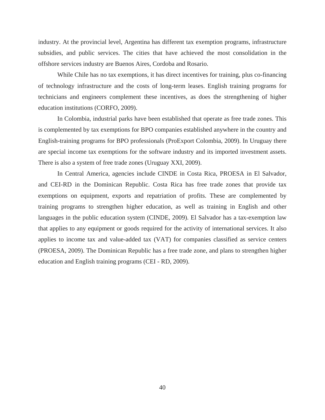industry. At the provincial level, Argentina has different tax exemption programs, infrastructure subsidies, and public services. The cities that have achieved the most consolidation in the offshore services industry are Buenos Aires, Cordoba and Rosario.

While Chile has no tax exemptions, it has direct incentives for training, plus co-financing of technology infrastructure and the costs of long-term leases. English training programs for technicians and engineers complement these incentives, as does the strengthening of higher education institutions (CORFO, 2009).

In Colombia, industrial parks have been established that operate as free trade zones. This is complemented by tax exemptions for BPO companies established anywhere in the country and English-training programs for BPO professionals (ProExport Colombia, 2009). In Uruguay there are special income tax exemptions for the software industry and its imported investment assets. There is also a system of free trade zones (Uruguay XXI, 2009).

In Central America, agencies include CINDE in Costa Rica, PROESA in El Salvador, and CEI-RD in the Dominican Republic. Costa Rica has free trade zones that provide tax exemptions on equipment, exports and repatriation of profits. These are complemented by training programs to strengthen higher education, as well as training in English and other languages in the public education system (CINDE, 2009). El Salvador has a tax-exemption law that applies to any equipment or goods required for the activity of international services. It also applies to income tax and value-added tax (VAT) for companies classified as service centers (PROESA, 2009). The Dominican Republic has a free trade zone, and plans to strengthen higher education and English training programs (CEI - RD, 2009).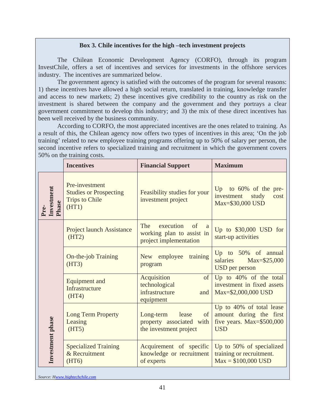### **Box 3. Chile incentives for the high –tech investment projects**

The Chilean Economic Development Agency (CORFO), through its program InvestChile, offers a set of incentives and services for investments in the offshore services industry. The incentives are summarized below.

The government agency is satisfied with the outcomes of the program for several reasons: 1) these incentives have allowed a high social return, translated in training, knowledge transfer and access to new markets; 2) these incentives give credibility to the country as risk on the investment is shared between the company and the government and they portrays a clear government commitment to develop this industry; and 3) the mix of these direct incentives has been well received by the business community.

According to CORFO, the most appreciated incentives are the ones related to training. As a result of this, the Chilean agency now offers two types of incentives in this area; 'On the job training' related to new employee training programs offering up to 50% of salary per person, the second incentive refers to specialized training and recruitment in which the government covers 50% on the training costs.

|                     | <b>Incentives</b>                                                                 | <b>Financial Support</b>                                                                      | <b>Maximum</b>                                                                                    |
|---------------------|-----------------------------------------------------------------------------------|-----------------------------------------------------------------------------------------------|---------------------------------------------------------------------------------------------------|
| Investment<br>Phase | Pre-investment<br><b>Studies or Prospecting</b><br><b>Trips to Chile</b><br>(HT1) | Feasibility studies for your<br>investment project                                            | Up to $60\%$ of the pre-<br>investment<br>study<br>cost<br>Max=\$30,000 USD                       |
|                     | <b>Project launch Assistance</b><br>(HT2)                                         | The<br>execution<br>of<br><sub>a</sub><br>working plan to assist in<br>project implementation | Up to $$30,000$ USD for<br>start-up activities                                                    |
|                     | <b>On-the-job Training</b><br>(HT3)                                               | training<br>employee<br><b>New</b><br>program                                                 | Up to $50\%$ of annual<br>salaries<br>Max=\$25,000<br><b>USD</b> per person                       |
|                     | <b>Equipment and</b><br><b>Infrastructure</b><br>(HT4)                            | Acquisition<br>of<br>technological<br>infrastructure<br>and<br>equipment                      | Up to 40% of the total<br>investment in fixed assets<br>Max=\$2,000,000 USD                       |
| Investment phase    | <b>Long Term Property</b><br>Leasing<br>(HT5)                                     | of<br>Long-term<br>lease<br>property associated with<br>the investment project                | Up to 40% of total lease<br>amount during the first<br>five years. $Max=$ \$500,000<br><b>USD</b> |
|                     | <b>Specialized Training</b><br>& Recruitment<br>(HT6)                             | Acquirement of specific<br>knowledge or recruitment<br>of experts                             | Up to 50% of specialized<br>training or recruitment.<br>$Max = $100,000$ USD                      |

*Source: H[www.hightechchile.com](http://www.hightechchile.com/)*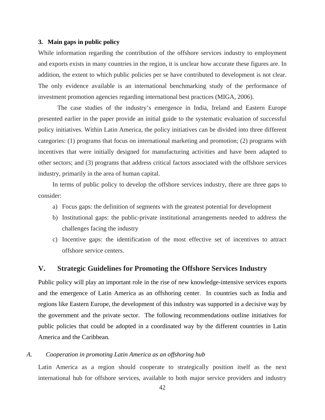#### **3. Main gaps in public policy**

While information regarding the contribution of the offshore services industry to employment and exports exists in many countries in the region, it is unclear how accurate these figures are. In addition, the extent to which public policies per se have contributed to development is not clear. The only evidence available is an international benchmarking study of the performance of investment promotion agencies regarding international best practices (MIGA, 2006).

The case studies of the industry's emergence in India, Ireland and Eastern Europe presented earlier in the paper provide an initial guide to the systematic evaluation of successful policy initiatives. Within Latin America, the policy initiatives can be divided into three different categories: (1) programs that focus on international marketing and promotion; (2) programs with incentives that were initially designed for manufacturing activities and have been adapted to other sectors; and (3) programs that address critical factors associated with the offshore services industry, primarily in the area of human capital.

In terms of public policy to develop the offshore services industry, there are three gaps to consider:

- a) Focus gaps: the definition of segments with the greatest potential for development
- b) Institutional gaps: the public-private institutional arrangements needed to address the challenges facing the industry
- c) Incentive gaps: the identification of the most effective set of incentives to attract offshore service centers.

### **V. Strategic Guidelines for Promoting the Offshore Services Industry**

Public policy will play an important role in the rise of new knowledge-intensive services exports and the emergence of Latin America as an offshoring center. In countries such as India and regions like Eastern Europe, the development of this industry was supported in a decisive way by the government and the private sector. The following recommendations outline initiatives for public policies that could be adopted in a coordinated way by the different countries in Latin America and the Caribbean.

### *A. Cooperation in promoting Latin America as an offshoring hub*

Latin America as a region should cooperate to strategically position itself as the next international hub for offshore services, available to both major service providers and industry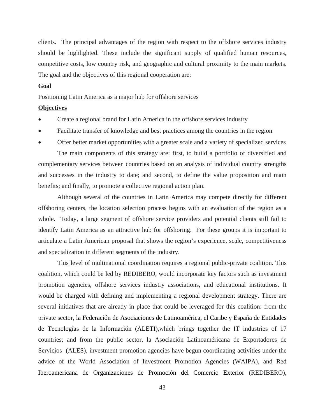clients. The principal advantages of the region with respect to the offshore services industry should be highlighted. These include the significant supply of qualified human resources, competitive costs, low country risk, and geographic and cultural proximity to the main markets. The goal and the objectives of this regional cooperation are:

### **Goal**

Positioning Latin America as a major hub for offshore services

### **Objectives**

- Create a regional brand for Latin America in the offshore services industry
- Facilitate transfer of knowledge and best practices among the countries in the region

• Offer better market opportunities with a greater scale and a variety of specialized services The main components of this strategy are: first, to build a portfolio of diversified and complementary services between countries based on an analysis of individual country strengths and successes in the industry to date; and second, to define the value proposition and main benefits; and finally, to promote a collective regional action plan.

Although several of the countries in Latin America may compete directly for different offshoring centers, the location selection process begins with an evaluation of the region as a whole. Today, a large segment of offshore service providers and potential clients still fail to identify Latin America as an attractive hub for offshoring. For these groups it is important to articulate a Latin American proposal that shows the region's experience, scale, competitiveness and specialization in different segments of the industry.

This level of multinational coordination requires a regional public-private coalition. This coalition, which could be led by REDIBERO, would incorporate key factors such as investment promotion agencies, offshore services industry associations, and educational institutions. It would be charged with defining and implementing a regional development strategy. There are several initiatives that are already in place that could be leveraged for this coalition: from the private sector, la Federación de Asociaciones de Latinoamérica, el Caribe y España de Entidades de Tecnologías de la Información (ALETI),which brings together the IT industries of 17 countries; and from the public sector, la Asociación Latinoaméricana de Exportadores de Servicios (ALES)*,* investment promotion agencies have begun coordinating activities under the advice of the World Association of Investment Promotion Agencies (WAIPA), and Red Iberoamericana de Organizaciones de Promoción del Comercio Exterior (REDIBERO),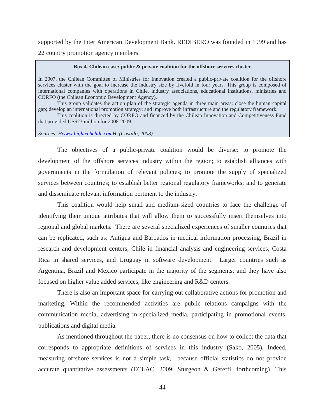supported by the Inter American Development Bank. REDIBERO was founded in 1999 and has 22 country promotion agency members.

#### **Box 4. Chilean case: public & private coalition for the offshore services cluster**

In 2007, the Chilean Committee of Ministries for Innovation created a public-private coalition for the offshore services cluster with the goal to increase the industry size by fivefold in four years. This group is composed of international companies with operations in Chile, industry associations, educational institutions, ministries and CORFO (the Chilean Economic Development Agency).

This group validates the action plan of the strategic agenda in three main areas: close the human capital gap; develop an international promotion strategy; and improve both infrastructure and the regulatory framework.

This coalition is directed by CORFO and financed by the Chilean Innovation and Competitiveness Fund that provided US\$23 million for 2008-2009.

#### *Sources: H[www.hightechchile.com](http://www.hightechchile.com/)H, (Castillo, 2008).*

The objectives of a public-private coalition would be diverse: to promote the development of the offshore services industry within the region; to establish alliances with governments in the formulation of relevant policies; to promote the supply of specialized services between countries; to establish better regional regulatory frameworks; and to generate and disseminate relevant information pertinent to the industry.

This coalition would help small and medium-sized countries to face the challenge of identifying their unique attributes that will allow them to successfully insert themselves into regional and global markets. There are several specialized experiences of smaller countries that can be replicated, such as: Antigua and Barbados in medical information processing, Brazil in research and development centers, Chile in financial analysis and engineering services, Costa Rica in shared services, and Uruguay in software development. Larger countries such as Argentina, Brazil and Mexico participate in the majority of the segments, and they have also focused on higher value added services, like engineering and R&D centers.

There is also an important space for carrying out collaborative actions for promotion and marketing. Within the recommended activities are public relations campaigns with the communication media, advertising in specialized media, participating in promotional events, publications and digital media.

As mentioned throughout the paper, there is no consensus on how to collect the data that corresponds to appropriate definitions of services in this industry (Sako, 2005). Indeed, measuring offshore services is not a simple task, because official statistics do not provide accurate quantitative assessments (ECLAC, 2009; Sturgeon & Gereffi, forthcoming). This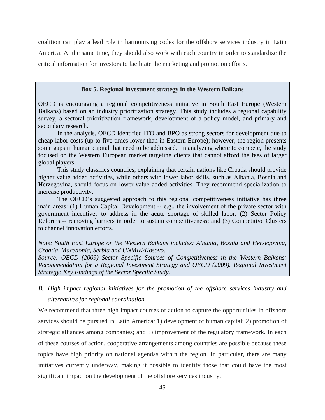coalition can play a lead role in harmonizing codes for the offshore services industry in Latin America. At the same time, they should also work with each country in order to standardize the critical information for investors to facilitate the marketing and promotion efforts.

#### **Box 5. Regional investment strategy in the Western Balkans**

OECD is encouraging a regional competitiveness initiative in South East Europe (Western Balkans) based on an industry prioritization strategy. This study includes a regional capability survey, a sectoral prioritization framework, development of a policy model, and primary and secondary research.

In the analysis, OECD identified ITO and BPO as strong sectors for development due to cheap labor costs (up to five times lower than in Eastern Europe); however, the region presents some gaps in human capital that need to be addressed. In analyzing where to compete, the study focused on the Western European market targeting clients that cannot afford the fees of larger global players.

This study classifies countries, explaining that certain nations like Croatia should provide higher value added activities, while others with lower labor skills, such as Albania, Bosnia and Herzegovina, should focus on lower-value added activities. They recommend specialization to increase productivity.

The OECD's suggested approach to this regional competitiveness initiative has three main areas: (1) Human Capital Development -- e.g., the involvement of the private sector with government incentives to address in the acute shortage of skilled labor; (2) Sector Policy Reforms -- removing barriers in order to sustain competitiveness; and (3) Competitive Clusters to channel innovation efforts.

*Note: South East Europe or the Western Balkans includes: Albania, Bosnia and Herzegovina, Croatia, Macedonia, Serbia and UNMIK/Kosovo.* 

*Source: OECD (2009) Sector Specific Sources of Competitiveness in the Western Balkans: Recommendation for a Regional Investment Strategy and OECD (2009). Regional Investment Strategy: Key Findings of the Sector Specific Study*.

*B. High impact regional initiatives for the promotion of the offshore services industry and alternatives for regional coordination* 

We recommend that three high impact courses of action to capture the opportunities in offshore services should be pursued in Latin America: 1) development of human capital; 2) promotion of strategic alliances among companies; and 3) improvement of the regulatory framework. In each of these courses of action, cooperative arrangements among countries are possible because these topics have high priority on national agendas within the region. In particular, there are many initiatives currently underway, making it possible to identify those that could have the most significant impact on the development of the offshore services industry.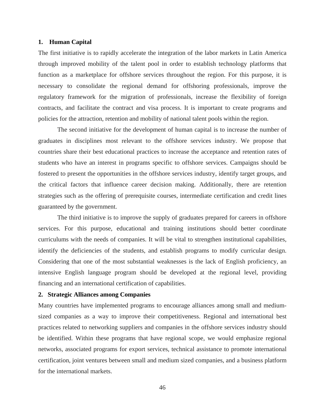#### **1. Human Capital**

The first initiative is to rapidly accelerate the integration of the labor markets in Latin America through improved mobility of the talent pool in order to establish technology platforms that function as a marketplace for offshore services throughout the region. For this purpose, it is necessary to consolidate the regional demand for offshoring professionals, improve the regulatory framework for the migration of professionals, increase the flexibility of foreign contracts, and facilitate the contract and visa process. It is important to create programs and policies for the attraction, retention and mobility of national talent pools within the region.

The second initiative for the development of human capital is to increase the number of graduates in disciplines most relevant to the offshore services industry. We propose that countries share their best educational practices to increase the acceptance and retention rates of students who have an interest in programs specific to offshore services. Campaigns should be fostered to present the opportunities in the offshore services industry, identify target groups, and the critical factors that influence career decision making. Additionally, there are retention strategies such as the offering of prerequisite courses, intermediate certification and credit lines guaranteed by the government.

The third initiative is to improve the supply of graduates prepared for careers in offshore services. For this purpose, educational and training institutions should better coordinate curriculums with the needs of companies. It will be vital to strengthen institutional capabilities, identify the deficiencies of the students, and establish programs to modify curricular design. Considering that one of the most substantial weaknesses is the lack of English proficiency, an intensive English language program should be developed at the regional level, providing financing and an international certification of capabilities.

### **2. Strategic Alliances among Companies**

Many countries have implemented programs to encourage alliances among small and mediumsized companies as a way to improve their competitiveness. Regional and international best practices related to networking suppliers and companies in the offshore services industry should be identified. Within these programs that have regional scope, we would emphasize regional networks, associated programs for export services, technical assistance to promote international certification, joint ventures between small and medium sized companies, and a business platform for the international markets.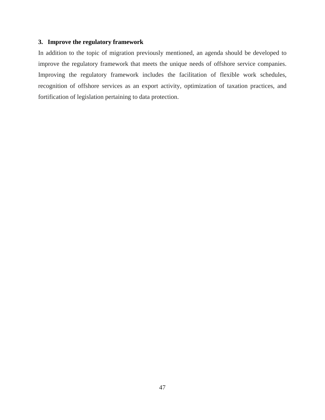### **3. Improve the regulatory framework**

In addition to the topic of migration previously mentioned, an agenda should be developed to improve the regulatory framework that meets the unique needs of offshore service companies. Improving the regulatory framework includes the facilitation of flexible work schedules, recognition of offshore services as an export activity, optimization of taxation practices, and fortification of legislation pertaining to data protection.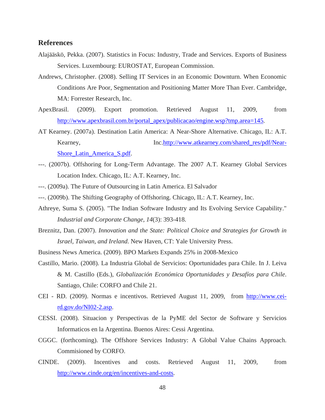### **References**

- Alajääskö, Pekka. (2007). Statistics in Focus: Industry, Trade and Services. Exports of Business Services. Luxembourg: EUROSTAT, European Commission.
- Andrews, Christopher. (2008). Selling IT Services in an Economic Downturn. When Economic Conditions Are Poor, Segmentation and Positioning Matter More Than Ever. Cambridge, MA: Forrester Research, Inc.
- ApexBrasil. (2009). Export promotion. Retrieved August 11, 2009, from [http://www.apexbrasil.com.br/portal\\_apex/publicacao/engine.wsp?tmp.area=145](http://www.apexbrasil.com.br/portal_apex/publicacao/engine.wsp?tmp.area=145).
- AT Kearney. (2007a). Destination Latin America: A Near-Shore Alternative. Chicago, IL: A.T. Kearney, Inc[.http://www.atkearney.com/shared\\_res/pdf/Near-](http://www.atkearney.com/shared_res/pdf/Near-Shore_Latin_America_S.pdf)[Shore\\_Latin\\_America\\_S.pdf](http://www.atkearney.com/shared_res/pdf/Near-Shore_Latin_America_S.pdf).
- ---. (2007b). Offshoring for Long-Term Advantage. The 2007 A.T. Kearney Global Services Location Index. Chicago, IL: A.T. Kearney, Inc.
- ---. (2009a). The Future of Outsourcing in Latin America. El Salvador
- ---. (2009b). The Shifting Geography of Offshoring. Chicago, IL: A.T. Kearney, Inc.
- Athreye, Suma S. (2005). "The Indian Software Industry and Its Evolving Service Capability." *Industrial and Corporate Change, 14*(3): 393-418.
- Breznitz, Dan. (2007). *Innovation and the State: Political Choice and Strategies for Growth in Israel, Taiwan, and Ireland*. New Haven, CT: Yale University Press.
- Business News America. (2009). BPO Markets Expands 25% in 2008-Mexico
- Castillo, Mario. (2008). La Industria Global de Servicios: Oportunidades para Chile. In J. Leiva & M. Castillo (Eds.), *Globalización Económica Oportunidades y Desafíos para Chile*. Santiago, Chile: CORFO and Chile 21.
- CEI RD. (2009). Normas e incentivos. Retrieved August 11, 2009, from [http://www.cei](http://www.cei-rd.gov.do/NI02-2.asp)[rd.gov.do/NI02-2.asp](http://www.cei-rd.gov.do/NI02-2.asp).
- CESSI. (2008). Situacion y Perspectivas de la PyME del Sector de Software y Servicios Informaticos en la Argentina. Buenos Aires: Cessi Argentina.
- CGGC. (forthcoming). The Offshore Services Industry: A Global Value Chains Approach. Commisioned by CORFO.
- CINDE. (2009). Incentives and costs. Retrieved August 11, 2009, from [http://www.cinde.org/en/incentives-and-costs.](http://www.cinde.org/en/incentives-and-costs)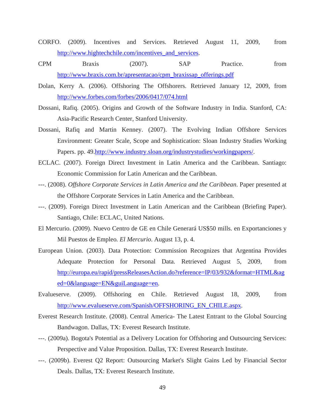- CORFO. (2009). Incentives and Services. Retrieved August 11, 2009, from [http://www.hightechchile.com/incentives\\_and\\_services.](http://www.hightechchile.com/incentives_and_services)
- CPM Braxis (2007). SAP Practice. from [http://www.braxis.com.br/apresentacao/cpm\\_braxissap\\_offerings.pdf](http://www.braxis.com.br/apresentacao/cpm_braxissap_offerings.pdf)
- Dolan, Kerry A. (2006). Offshoring The Offshorers. Retrieved January 12, 2009, from <http://www.forbes.com/forbes/2006/0417/074.html>
- Dossani, Rafiq. (2005). Origins and Growth of the Software Industry in India. Stanford, CA: Asia-Pacific Research Center, Stanford University.
- Dossani, Rafiq and Martin Kenney. (2007). The Evolving Indian Offshore Services Environment: Greater Scale, Scope and Sophistication: Sloan Industry Studies Working Papers. pp. 49.<http://www.industry.sloan.org/industrystudies/workingpapers/>.
- ECLAC. (2007). Foreign Direct Investment in Latin America and the Caribbean. Santiago: Economic Commission for Latin American and the Caribbean.
- ---. (2008). *Offshore Corporate Services in Latin America and the Caribbean*. Paper presented at the Offshore Corporate Services in Latin America and the Caribbean.
- ---. (2009). Foreign Direct Investment in Latin American and the Caribbean (Briefing Paper). Santiago, Chile: ECLAC, United Nations.
- El Mercurio. (2009). Nuevo Centro de GE en Chile Generará US\$50 mills. en Exportanciones y Mil Puestos de Empleo*. El Mercurio*. August 13*,* p. 4.
- European Union. (2003). Data Protection: Commission Recognizes that Argentina Provides Adequate Protection for Personal Data. Retrieved August 5, 2009, from [http://europa.eu/rapid/pressReleasesAction.do?reference=IP/03/932&format=HTML&ag](http://europa.eu/rapid/pressReleasesAction.do?reference=IP/03/932&format=HTML&aged=0&language=EN&guiLanguage=en) [ed=0&language=EN&guiLanguage=en.](http://europa.eu/rapid/pressReleasesAction.do?reference=IP/03/932&format=HTML&aged=0&language=EN&guiLanguage=en)
- Evalueserve. (2009). Offshoring en Chile. Retrieved August 18, 2009, from [http://www.evalueserve.com/Spanish/OFFSHORING\\_EN\\_CHILE.aspx](http://www.evalueserve.com/Spanish/OFFSHORING_EN_CHILE.aspx).
- Everest Research Institute. (2008). Central America- The Latest Entrant to the Global Sourcing Bandwagon. Dallas, TX: Everest Research Institute.
- ---. (2009a). Bogota's Potential as a Delivery Location for Offshoring and Outsourcing Services: Perspective and Value Proposition. Dallas, TX: Everest Research Institute.
- ---. (2009b). Everest Q2 Report: Outsourcing Market's Slight Gains Led by Financial Sector Deals. Dallas, TX: Everest Research Institute.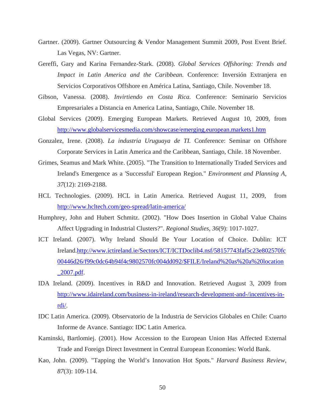- Gartner. (2009). Gartner Outsourcing & Vendor Management Summit 2009, Post Event Brief. Las Vegas, NV: Gartner.
- Gereffi, Gary and Karina Fernandez-Stark. (2008). *Global Services Offshoring: Trends and Impact in Latin America and the Caribbean.* Conference: Inversión Extranjera en Servicios Corporativos Offshore en América Latina, Santiago, Chile. November 18.
- Gibson, Vanessa. (2008). *Invirtiendo en Costa Rica.* Conference: Seminario Servicios Empresariales a Distancia en America Latina, Santiago, Chile. November 18.
- Global Services (2009). Emerging European Markets. Retrieved August 10, 2009, from <http://www.globalservicesmedia.com/showcase/emerging.european.markets1.htm>
- Gonzalez, Irene. (2008). *La industria Uruguaya de TI.* Conference: Seminar on Offshore Corporate Services in Latin America and the Caribbean, Santiago, Chile. 18 November.
- Grimes, Seamus and Mark White. (2005). "The Transition to Internationally Traded Services and Ireland's Emergence as a 'Successful' European Region." *Environment and Planning A, 37*(12): 2169-2188.
- HCL Technologies. (2009). HCL in Latin America. Retrieved August 11, 2009, from <http://www.hcltech.com/geo-spread/latin-america/>
- Humphrey, John and Hubert Schmitz. (2002). "How Does Insertion in Global Value Chains Affect Upgrading in Industrial Clusters?". *Regional Studies, 36*(9): 1017-1027.
- ICT Ireland. (2007). Why Ireland Should Be Your Location of Choice. Dublin: ICT Ireland[.http://www.ictireland.ie/Sectors/ICT/ICTDoclib4.nsf/58157743faf5c23e802570fc](http://www.ictireland.ie/Sectors/ICT/ICTDoclib4.nsf/58157743faf5c23e802570fc00446d26/f99c0dc64b94f4c9802570fc004dd092/$FILE/Ireland%20as%20a%20location_2007.pdf) [00446d26/f99c0dc64b94f4c9802570fc004dd092/\\$FILE/Ireland%20as%20a%20location](http://www.ictireland.ie/Sectors/ICT/ICTDoclib4.nsf/58157743faf5c23e802570fc00446d26/f99c0dc64b94f4c9802570fc004dd092/$FILE/Ireland%20as%20a%20location_2007.pdf) [\\_2007.pdf.](http://www.ictireland.ie/Sectors/ICT/ICTDoclib4.nsf/58157743faf5c23e802570fc00446d26/f99c0dc64b94f4c9802570fc004dd092/$FILE/Ireland%20as%20a%20location_2007.pdf)
- IDA Ireland. (2009). Incentives in R&D and Innovation. Retrieved August 3, 2009 from [http://www.idaireland.com/business-in-ireland/research-development-and-/incentives-in](http://www.idaireland.com/business-in-ireland/research-development-and-/incentives-in-rdi/)[rdi/.](http://www.idaireland.com/business-in-ireland/research-development-and-/incentives-in-rdi/)
- IDC Latin America. (2009). Observatorio de la Industria de Servicios Globales en Chile: Cuarto Informe de Avance. Santiago: IDC Latin America.
- Kaminski, Bartlomiej. (2001). How Accession to the European Union Has Affected External Trade and Foreign Direct Investment in Central European Economies: World Bank.
- Kao, John. (2009). "Tapping the World's Innovation Hot Spots." *Harvard Business Review, 87*(3): 109-114.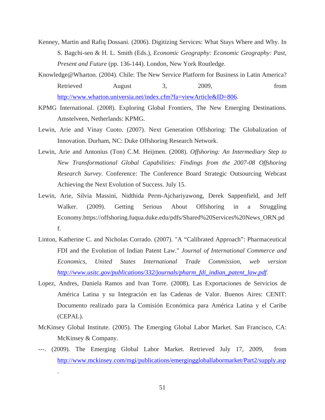- Kenney, Martin and Rafiq Dossani. (2006). Digitizing Services: What Stays Where and Why. In S. Bagchi-sen & H. L. Smith (Eds.), *Economic Geography: Economic Geography: Past, Present and Future* (pp. 136-144). London, New York Routledge.
- Knowledge@Wharton. (2004). Chile: The New Service Platform for Business in Latin America? Retrieved August 3, 2009, from <http://www.wharton.universia.net/index.cfm?fa=viewArticle&ID=806>.
- KPMG International. (2008). Exploring Global Frontiers, The New Emerging Destinations. Amstelveen, Netherlands: KPMG.
- Lewin, Arie and Vinay Cuoto. (2007). Next Generation Offshoring: The Globalization of Innovation. Durham, NC: Duke Offshoring Research Network.
- Lewin, Arie and Antonius (Ton) C.M. Heijmen. (2008). *Offshoring: An Intermediary Step to New Transformational Global Capabilities: Findings from the 2007-08 Offshoring Research Survey.* Conference: The Conference Board Strategic Outsourcing Webcast Achieving the Next Evolution of Success. July 15.
- Lewin, Arie, Silvia Massini, Nidthida Perm-Ajchariyawong, Derek Sappenfield, and Jeff Walker. (2009). Getting Serious About Offshoring in a Struggling Economy.https://offshoring.fuqua.duke.edu/pdfs/Shared%20Services%20News\_ORN.pd f.
- Linton, Katherine C. and Nicholas Corrado. (2007). "A "Calibrated Approach": Pharmaceutical FDI and the Evolution of Indian Patent Law." *Journal of International Commerce and Economics, United States International Trade Commission, web version [http://www.usitc.gov/publications/332/journals/pharm\\_fdi\\_indian\\_patent\\_law.pdf](http://www.usitc.gov/publications/332/journals/pharm_fdi_indian_patent_law.pdf)*.
- Lopez, Andres, Daniela Ramos and Ivan Torre. (2008). Las Exportaciones de Servicios de América Latina y su Integración en las Cadenas de Valor. Buenos Aires: CENIT: Documento realizado para la Comisión Económica para América Latina y el Caribe (CEPAL).
- McKinsey Global Institute. (2005). The Emerging Global Labor Market. San Francisco, CA: McKinsey & Company.
- ---. (2009). The Emerging Global Labor Market. Retrieved July 17, 2009, from <http://www.mckinsey.com/mgi/publications/emerginggloballabormarket/Part2/supply.asp>

.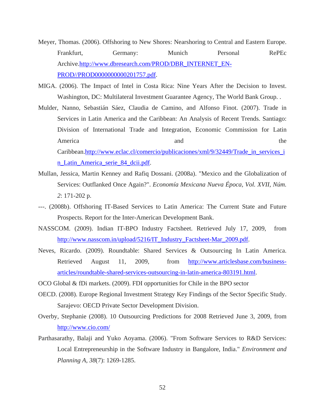- Meyer, Thomas. (2006). Offshoring to New Shores: Nearshoring to Central and Eastern Europe. Frankfurt, Germany: Munich Personal RePEc Archive.[http://www.dbresearch.com/PROD/DBR\\_INTERNET\\_EN-](http://www.dbresearch.com/PROD/DBR_INTERNET_EN-PROD//PROD0000000000201757.pdf)[PROD//PROD0000000000201757.pdf.](http://www.dbresearch.com/PROD/DBR_INTERNET_EN-PROD//PROD0000000000201757.pdf)
- MIGA. (2006). The Impact of Intel in Costa Rica: Nine Years After the Decision to Invest. Washington, DC: Multilateral Investment Guarantee Agency, The World Bank Group. .
- Mulder, Nanno, Sebastián Sáez, Claudia de Camino, and Alfonso Finot. (2007). Trade in Services in Latin America and the Caribbean: An Analysis of Recent Trends. Santiago: Division of International Trade and Integration, Economic Commission for Latin America and the same and the same state of the same state and the same state  $\alpha$ Caribbean[.http://www.eclac.cl/comercio/publicaciones/xml/9/32449/Trade\\_in\\_services\\_i](http://www.eclac.cl/comercio/publicaciones/xml/9/32449/Trade_in_services_in_Latin_America_serie_84_dcii.pdf) n Latin\_America\_serie\_84\_dcii.pdf.
- Mullan, Jessica, Martin Kenney and Rafiq Dossani. (2008a). "Mexico and the Globalization of Services: Outflanked Once Again?". *Economía Mexicana Nueva Época, Vol. XVII, Núm. 2*: 171-202 p.
- ---. (2008b). Offshoring IT-Based Services to Latin America: The Current State and Future Prospects. Report for the Inter-American Development Bank.
- NASSCOM. (2009). Indian IT-BPO Industry Factsheet. Retrieved July 17, 2009, from [http://www.nasscom.in/upload/5216/IT\\_Industry\\_Factsheet-Mar\\_2009.pdf.](http://www.nasscom.in/upload/5216/IT_Industry_Factsheet-Mar_2009.pdf)
- Neves, Ricardo. (2009). Roundtable: Shared Services & Outsourcing In Latin America. Retrieved August 11, 2009, from [http://www.articlesbase.com/business](http://www.articlesbase.com/business-articles/roundtable-shared-services-outsourcing-in-latin-america-803191.html)[articles/roundtable-shared-services-outsourcing-in-latin-america-803191.html](http://www.articlesbase.com/business-articles/roundtable-shared-services-outsourcing-in-latin-america-803191.html).
- OCO Global & fDi markets. (2009). FDI opportunities for Chile in the BPO sector
- OECD. (2008). Europe Regional Investment Strategy Key Findings of the Sector Specific Study. Sarajevo: OECD Private Sector Development Division.
- Overby, Stephanie (2008). 10 Outsourcing Predictions for 2008 Retrieved June 3, 2009, from <http://www.cio.com/>
- Parthasarathy, Balaji and Yuko Aoyama. (2006). "From Software Services to R&D Services: Local Entrepreneurship in the Software Industry in Bangalore, India." *Environment and Planning A, 38*(7): 1269-1285.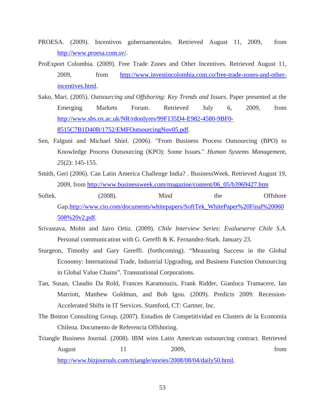- PROESA. (2009). Incentivos gubernamentales. Retrieved August 11, 2009, from [http://www.proesa.com.sv/.](http://www.proesa.com.sv/)
- ProExport Colombia. (2009). Free Trade Zones and Other Incentives. Retrieved August 11, 2009, from [http://www.investincolombia.com.co/free-trade-zones-and-other](http://www.investincolombia.com.co/free-trade-zones-and-other-incentives.html)[incentives.html.](http://www.investincolombia.com.co/free-trade-zones-and-other-incentives.html)
- Sako, Mari. (2005). *Outsourcing and Offshoring: Key Trends and Issues*. Paper presented at the Emerging Markets Forum. Retrieved July 6, 2009, from [http://www.sbs.ox.ac.uk/NR/rdonlyres/99F135D4-E982-4580-9BF0-](http://www.sbs.ox.ac.uk/NR/rdonlyres/99F135D4-E982-4580-9BF0-8515C7B1D40B/1752/EMFOutsourcingNov05.pdf) [8515C7B1D40B/1752/EMFOutsourcingNov05.pdf.](http://www.sbs.ox.ac.uk/NR/rdonlyres/99F135D4-E982-4580-9BF0-8515C7B1D40B/1752/EMFOutsourcingNov05.pdf)
- Sen, Falguni and Michael Shiel. (2006). "From Business Process Outsourcing (BPO) to Knowledge Process Outsourcing (KPO): Some Issues." *Human Systems Management, 25*(2): 145-155.
- Smith, Geri (2006). Can Latin America Challenge India? . BusinessWeek. Retrieved August 19, 2009, from [http://www.businessweek.com/magazine/content/06\\_05/b3969427.htm](http://www.businessweek.com/magazine/content/06_05/b3969427.htm)
- Softek. (2008). Mind the Offshore Gap.[http://www.cio.com/documents/whitepapers/SoftTek\\_WhitePaper%20Final%20060](http://www.cio.com/documents/whitepapers/SoftTek_WhitePaper%20Final%20060508%20v2.pdf) [508%20v2.pdf.](http://www.cio.com/documents/whitepapers/SoftTek_WhitePaper%20Final%20060508%20v2.pdf)
- Srivastava, Mohit and Jairo Ortiz. (2009). *Chile Interview Series: Evalueserve Chile S.A*. Personal communication with G. Gereffi & K. Fernandez-Stark. January 23.
- Sturgeon, Timothy and Gary Gereffi. (forthcoming). "Measuring Success in the Global Economy: International Trade, Industrial Upgrading, and Business Function Outsourcing in Global Value Chains". Transnational Corporations.
- Tan, Susan, Claudio Da Rold, Frances Karamouzis, Frank Ridder, Gianluca Tramacere, Ian Marriott, Matthew Goldman, and Bob Igou. (2009). Predicts 2009: Recession-Accelerated Shifts in IT Services. Stamford, CT: Gartner, Inc.
- The Boston Consulting Group. (2007). Estudios de Competitividad en Clusters de la Economía Chilena. Documento de Referencia Offshoring.
- Triangle Business Journal. (2008). IBM wins Latin American outsourcing contract. Retrieved August 11 2009, from [http://www.bizjournals.com/triangle/stories/2008/08/04/daily50.html.](http://www.bizjournals.com/triangle/stories/2008/08/04/daily50.html)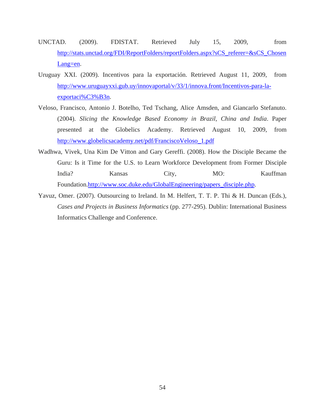- UNCTAD. (2009). FDISTAT. Retrieved July 15, 2009, from [http://stats.unctad.org/FDI/ReportFolders/reportFolders.aspx?sCS\\_referer=&sCS\\_Chosen](http://stats.unctad.org/FDI/ReportFolders/reportFolders.aspx?sCS_referer=&sCS_ChosenLang=en) [Lang=en.](http://stats.unctad.org/FDI/ReportFolders/reportFolders.aspx?sCS_referer=&sCS_ChosenLang=en)
- Uruguay XXI. (2009). Incentivos para la exportación. Retrieved August 11, 2009, from [http://www.uruguayxxi.gub.uy/innovaportal/v/33/1/innova.front/Incentivos-para-la](http://www.uruguayxxi.gub.uy/innovaportal/v/33/1/innova.front/Incentivos-para-la-exportaci%C3%B3n)[exportaci%C3%B3n.](http://www.uruguayxxi.gub.uy/innovaportal/v/33/1/innova.front/Incentivos-para-la-exportaci%C3%B3n)
- Veloso, Francisco, Antonio J. Botelho, Ted Tschang, Alice Amsden, and Giancarlo Stefanuto. (2004). *Slicing the Knowledge Based Economy in Brazil, China and India*. Paper presented at the Globelics Academy. Retrieved August 10, 2009, from [http://www.globelicsacademy.net/pdf/FranciscoVeloso\\_1.pdf](http://www.globelicsacademy.net/pdf/FranciscoVeloso_1.pdf)
- Wadhwa, Vivek, Una Kim De Vitton and Gary Gereffi. (2008). How the Disciple Became the Guru: Is it Time for the U.S. to Learn Workforce Development from Former Disciple India? Kansas City, MO: Kauffman Foundation.[http://www.soc.duke.edu/GlobalEngineering/papers\\_disciple.php.](http://www.soc.duke.edu/GlobalEngineering/papers_disciple.php)
- Yavuz, Omer. (2007). Outsourcing to Ireland. In M. Helfert, T. T. P. Thi & H. Duncan (Eds.), *Cases and Projects in Business Informatics* (pp. 277-295). Dublin: International Business Informatics Challenge and Conference.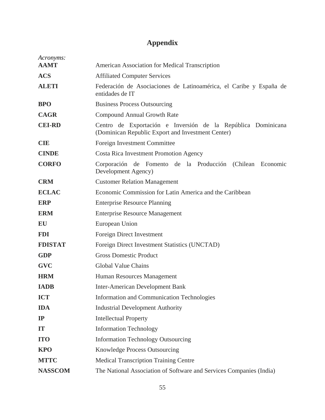## **Appendix**

| Acronyms:      |                                                                                                                   |
|----------------|-------------------------------------------------------------------------------------------------------------------|
| <b>AAMT</b>    | American Association for Medical Transcription                                                                    |
| <b>ACS</b>     | <b>Affiliated Computer Services</b>                                                                               |
| <b>ALETI</b>   | Federación de Asociaciones de Latinoamérica, el Caribe y España de<br>entidades de IT                             |
| <b>BPO</b>     | <b>Business Process Outsourcing</b>                                                                               |
| <b>CAGR</b>    | <b>Compound Annual Growth Rate</b>                                                                                |
| <b>CEI-RD</b>  | Centro de Exportación e Inversión de la República Dominicana<br>(Dominican Republic Export and Investment Center) |
| <b>CIE</b>     | Foreign Investment Committee                                                                                      |
| <b>CINDE</b>   | <b>Costa Rica Investment Promotion Agency</b>                                                                     |
| <b>CORFO</b>   | Corporación de Fomento de la Producción<br>(Chilean Economic<br>Development Agency)                               |
| <b>CRM</b>     | <b>Customer Relation Management</b>                                                                               |
| <b>ECLAC</b>   | Economic Commission for Latin America and the Caribbean                                                           |
| <b>ERP</b>     | <b>Enterprise Resource Planning</b>                                                                               |
| <b>ERM</b>     | <b>Enterprise Resource Management</b>                                                                             |
| <b>EU</b>      | European Union                                                                                                    |
| <b>FDI</b>     | Foreign Direct Investment                                                                                         |
| <b>FDISTAT</b> | Foreign Direct Investment Statistics (UNCTAD)                                                                     |
| <b>GDP</b>     | <b>Gross Domestic Product</b>                                                                                     |
| <b>GVC</b>     | <b>Global Value Chains</b>                                                                                        |
| <b>HRM</b>     | Human Resources Management                                                                                        |
| <b>IADB</b>    | <b>Inter-American Development Bank</b>                                                                            |
| <b>ICT</b>     | <b>Information and Communication Technologies</b>                                                                 |
| <b>IDA</b>     | <b>Industrial Development Authority</b>                                                                           |
| IP             | <b>Intellectual Property</b>                                                                                      |
| IT             | <b>Information Technology</b>                                                                                     |
| <b>ITO</b>     | <b>Information Technology Outsourcing</b>                                                                         |
| <b>KPO</b>     | <b>Knowledge Process Outsourcing</b>                                                                              |
| <b>MTTC</b>    | <b>Medical Transcription Training Centre</b>                                                                      |
| <b>NASSCOM</b> | The National Association of Software and Services Companies (India)                                               |
|                |                                                                                                                   |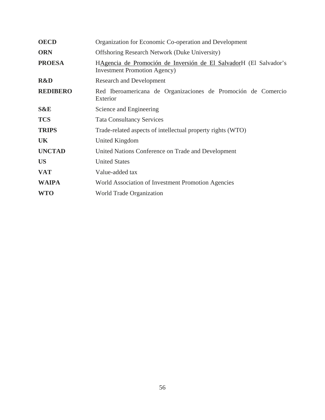| <b>OECD</b>     | Organization for Economic Co-operation and Development                                                    |
|-----------------|-----------------------------------------------------------------------------------------------------------|
| <b>ORN</b>      | <b>Offshoring Research Network (Duke University)</b>                                                      |
| <b>PROESA</b>   | HAgencia de Promoción de Inversión de El SalvadorH (El Salvador's<br><b>Investment Promotion Agency</b> ) |
| <b>R&amp;D</b>  | <b>Research and Development</b>                                                                           |
| <b>REDIBERO</b> | Red Iberoamericana de Organizaciones de Promoción de Comercio<br>Exterior                                 |
| <b>S&amp;E</b>  | Science and Engineering                                                                                   |
| <b>TCS</b>      | <b>Tata Consultancy Services</b>                                                                          |
| <b>TRIPS</b>    | Trade-related aspects of intellectual property rights (WTO)                                               |
| UK              | United Kingdom                                                                                            |
| <b>UNCTAD</b>   | United Nations Conference on Trade and Development                                                        |
| <b>US</b>       | <b>United States</b>                                                                                      |
| <b>VAT</b>      | Value-added tax                                                                                           |
| <b>WAIPA</b>    | World Association of Investment Promotion Agencies                                                        |
| <b>WTO</b>      | <b>World Trade Organization</b>                                                                           |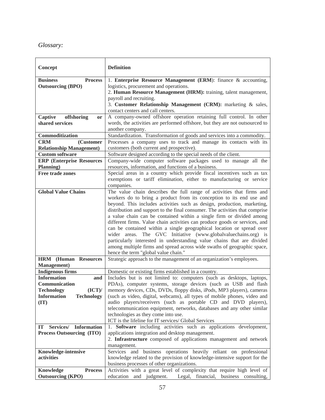### *Glossary:*

| Concept                                          | <b>Definition</b>                                                                                                                                  |
|--------------------------------------------------|----------------------------------------------------------------------------------------------------------------------------------------------------|
| <b>Business</b><br><b>Process</b>                | 1. Enterprise Resource Management (ERM): finance & accounting,                                                                                     |
| <b>Outsourcing (BPO)</b>                         | logistics, procurement and operations.                                                                                                             |
|                                                  | 2. Human Resource Management (HRM): training, talent management,                                                                                   |
|                                                  | payroll and recruiting.                                                                                                                            |
|                                                  | 3. Customer Relationship Management (CRM): marketing & sales,                                                                                      |
|                                                  | contact centers and call centers.                                                                                                                  |
| Captive<br>offshoring<br><b>or</b>               | A company-owned offshore operation retaining full control. In other                                                                                |
| shared services                                  | words, the activities are performed offshore, but they are not outsourced to                                                                       |
|                                                  | another company.                                                                                                                                   |
| Commoditization                                  | Standardization. Transformation of goods and services into a commodity.                                                                            |
| <b>CRM</b><br>(Customer                          | Processes a company uses to track and manage its contacts with its                                                                                 |
| <b>Relationship Management)</b>                  | customers (both current and prospective).                                                                                                          |
| <b>Custom software</b>                           | Software designed according to the special needs of the client.                                                                                    |
| <b>ERP</b> (Enterprise Resources                 | Company-wide computer software packages used to manage all the                                                                                     |
| Planning)                                        | resources, information, and functions of a business.                                                                                               |
| <b>Free trade zones</b>                          | Special areas in a country which provide fiscal incentives such as tax                                                                             |
|                                                  | exemptions or tariff elimination, either to manufacturing or service                                                                               |
|                                                  | companies.                                                                                                                                         |
| <b>Global Value Chains</b>                       | The value chain describes the full range of activities that firms and                                                                              |
|                                                  | workers do to bring a product from its conception to its end use and                                                                               |
|                                                  | beyond. This includes activities such as design, production, marketing,                                                                            |
|                                                  | distribution and support to the final consumer. The activities that comprise                                                                       |
|                                                  | a value chain can be contained within a single firm or divided among<br>different firms. Value chain activities can produce goods or services, and |
|                                                  | can be contained within a single geographical location or spread over                                                                              |
|                                                  | wider areas. The GVC Initiative (www.globalvaluechains.org) is                                                                                     |
|                                                  | particularly interested in understanding value chains that are divided                                                                             |
|                                                  | among multiple firms and spread across wide swaths of geographic space,                                                                            |
|                                                  | hence the term "global value chain."                                                                                                               |
| <b>HRM</b> (Human Resources                      | Strategic approach to the management of an organization's employees.                                                                               |
| <b>Management</b> )                              |                                                                                                                                                    |
| <b>Indigenous firms</b>                          | Domestic or existing firms established in a country.                                                                                               |
| <b>Information</b><br>and                        | Includes but is not limited to: computers (such as desktops, laptops,                                                                              |
| Communication                                    | PDAs), computer systems, storage devices (such as USB and flash                                                                                    |
| <b>Technology</b><br>(ICT)                       | memory devices, CDs, DVDs, floppy disks, iPods, MP3 players), cameras                                                                              |
| <b>Information</b><br><b>Technology</b>          | (such as video, digital, webcams), all types of mobile phones, video and                                                                           |
| $(\mathbf{I}\mathbf{T})$                         | audio players/receivers (such as portable CD and DVD players),                                                                                     |
|                                                  | telecommunication equipment, networks, databases and any other similar                                                                             |
|                                                  | technologies as they come into use.                                                                                                                |
|                                                  | ICT is the lifeline for IT services/ Global Services                                                                                               |
| Services/ Information<br>$\mathbf{I} \mathbf{T}$ | 1. Software including activities such as applications development,                                                                                 |
| Process Outsourcing (ITO)                        | applications integration and desktop management.                                                                                                   |
|                                                  | 2. Infrastructure composed of applications management and network                                                                                  |
|                                                  | management.                                                                                                                                        |
| Knowledge-intensive                              | Services and business operations heavily reliant on professional                                                                                   |
| activities                                       | knowledge related to the provision of knowledge-intensive support for the                                                                          |
|                                                  | business processes of other organizations.                                                                                                         |
| Knowledge<br><b>Process</b>                      | Activities with a great level of complexity that require high level of<br>education                                                                |
| <b>Outsourcing (KPO)</b>                         | Legal, financial, business consulting,<br>and judgment.                                                                                            |